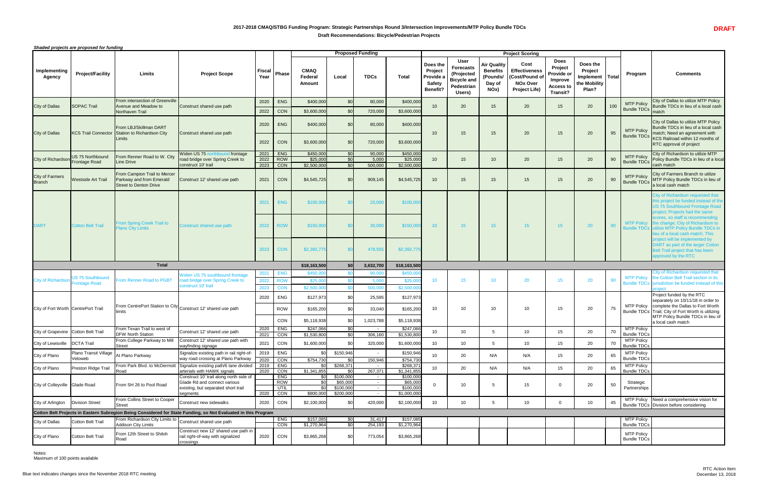# **2017-2018 CMAQ/STBG Funding Program: Strategic Partnerships Round 3/Intersection Improvements/MTP Policy Bundle TDCs Draft Recommendations: Bicycle/Pedestrian Projects**



*Shaded projects are proposed for funding*

Notes: Maximum of 100 points available

|                                         |                                                 |                                                                                           |                                                                                                                            |                      |                                         |                                                        |                                                 | <b>Proposed Funding</b>                              |                                                   |                                                                      |                                                                                             |                                                                                  | <b>Project Scoring</b>                                                                                 |                                                                                               |                                                                          |     |                                         |                                                                                                                                                                                                                                    |
|-----------------------------------------|-------------------------------------------------|-------------------------------------------------------------------------------------------|----------------------------------------------------------------------------------------------------------------------------|----------------------|-----------------------------------------|--------------------------------------------------------|-------------------------------------------------|------------------------------------------------------|---------------------------------------------------|----------------------------------------------------------------------|---------------------------------------------------------------------------------------------|----------------------------------------------------------------------------------|--------------------------------------------------------------------------------------------------------|-----------------------------------------------------------------------------------------------|--------------------------------------------------------------------------|-----|-----------------------------------------|------------------------------------------------------------------------------------------------------------------------------------------------------------------------------------------------------------------------------------|
| Implementing<br><b>Agency</b>           | <b>Project/Facility</b>                         | <b>Limits</b>                                                                             | <b>Project Scope</b>                                                                                                       | Fiscal<br>Year       | Phase                                   | <b>CMAQ</b><br>Federa<br><b>Amount</b>                 | Local                                           | <b>TDCs</b>                                          | <b>Total</b>                                      | Does the<br>Project<br>Provide a<br><b>Safety</b><br><b>Benefit?</b> | <b>User</b><br><b>Forecasts</b><br>(Projected<br><b>Bicycle and</b><br>Pedestrian<br>Users) | <b>Air Quality</b><br><b>Benefits</b><br>(Pounds/<br>Day of<br>NO <sub>x</sub> ) | <b>Cost</b><br><b>Effectiveness</b><br><b>Cost/Pound of</b><br><b>NOx Over</b><br><b>Project Life)</b> | <b>Does</b><br>Project<br>Provide or<br><b>Improve</b><br><b>Access to</b><br><b>Transit?</b> | Does the<br><b>Project</b><br>Implement   Total<br>the Mobility<br>Plan? |     | Program                                 | <b>Comments</b>                                                                                                                                                                                                                    |
| <b>City of Dallas</b>                   | <b>SOPAC Trail</b>                              | <b>From intersection of Greenville</b><br>Avenue and Meadow to<br>Northaven Trail         | Construct shared use path                                                                                                  | 2020<br>2022         | <b>ENG</b><br>CON                       | \$400,000<br>\$3,600,000                               | \$0<br>\$0                                      | 80,000<br>720,000                                    | \$400,000<br>\$3,600,000                          | 10 <sup>°</sup>                                                      | 20                                                                                          | 15                                                                               | 20                                                                                                     | 15                                                                                            | 20                                                                       | 100 | <b>MTP Policy</b><br><b>Bundle TDCs</b> | City of Dallas to utilize MTP Policy<br>Bundle TDCs in lieu of a local cash<br>match                                                                                                                                               |
| City of Dallas                          | <b>KCS Trail Connector</b>                      | <b>IFrom LBJ/Skillman DART</b><br>Station to Richardson City<br>Limits                    | Construct shared use path                                                                                                  | 2020<br>2022         | <b>ENG</b><br><b>CON</b>                | \$400,000<br>\$3,600,000                               | \$0<br>\$0                                      | 80,000<br>720,000                                    | \$400,000<br>\$3,600,000                          | 10 <sup>°</sup>                                                      | 15                                                                                          | 15                                                                               | 20                                                                                                     | 15 <sub>15</sub>                                                                              | 20                                                                       | 95  | <b>MTP Policy</b><br><b>Bundle TDCs</b> | City of Dallas to utilize MTP Policy<br>Bundle TDCs in lieu of a local cash<br>match; Need an agreement with<br>KCS Railroad within 12 months of                                                                                   |
| City of Richardson Frontage Road        | US 75 Northbound                                | From Renner Road to W. City<br>Line Drive                                                 | Widen US 75 northbound frontage<br>road bridge over Spring Creek to<br>construct 10' trail                                 | 2021<br>2022<br>2023 | <b>ENG</b><br>ROW<br>CON                | \$450,000<br>\$25,000<br>\$2,500,000                   | \$0<br>\$0<br>\$0                               | 90,000<br>5,000<br>500,000                           | \$450,000<br>\$25,000<br>\$2,500,000              | 10 <sup>°</sup>                                                      | 15                                                                                          | 10                                                                               | 20                                                                                                     | 15                                                                                            | 20                                                                       | 90  | <b>MTP Policy</b><br><b>Bundle TDCs</b> | <b>RTC</b> approval of project<br>City of Richardson to utilize MTP<br>Policy Bundle TDCs in lieu of a local<br>cash match                                                                                                         |
| <b>City of Farmers</b><br><b>Branch</b> | <b>Westside Art Trail</b>                       | <b>From Campion Trail to Mercer</b><br>Parkway and from Emerald<br>Street to Denton Drive | Construct 12' shared use path                                                                                              | 2021                 | <b>CON</b>                              | \$4,545,725                                            | \$0                                             | 909,145                                              | \$4,545,725                                       | 10 <sup>°</sup>                                                      | 15                                                                                          | 15                                                                               | 15 <sup>2</sup>                                                                                        | 15                                                                                            | 20                                                                       | 90  | <b>MTP Policy</b><br><b>Bundle TDCs</b> | City of Farmers Branch to utilize<br>MTP Policy Bundle TDCs in lieu of<br>a local cash match                                                                                                                                       |
| <b>DART</b>                             | <b>Cotton Belt Trail</b>                        | <b>From Spring Creek Trail to</b>                                                         | Construct shared use path                                                                                                  | 2021<br>2022         | <b>ENG</b><br><b>ROW</b>                | \$100,000<br>\$150,000                                 |                                                 | 20,000<br>30,000                                     | \$100,000<br>\$150,000                            | 10 <sup>°</sup>                                                      | 15                                                                                          | 15 <sub>1</sub>                                                                  | 15 <sup>15</sup>                                                                                       | 15 <sup>2</sup>                                                                               | 20                                                                       | 90  | <b>MTP Policy</b>                       | City of Richardson requested that<br>his project be funded instead of the<br>US 75 Southbound Frontage Road<br>project; Projects had the same<br>scores, so staff is recommending<br>the change; City of Richardson to             |
|                                         |                                                 | <b>Plano City Limits</b>                                                                  |                                                                                                                            | 2023                 | <b>CON</b>                              | \$2,392,775                                            |                                                 | 478,555                                              | \$2,392,775                                       |                                                                      |                                                                                             |                                                                                  |                                                                                                        |                                                                                               |                                                                          |     |                                         | Bundle TDCs utilize MTP Policy Bundle TDCs in<br>eu of a local cash match; This<br>project will be implemented by<br>DART as part of the larger Cotton<br>Belt Trail project that has been<br>approved by the RTC                  |
|                                         |                                                 | <b>Total</b>                                                                              |                                                                                                                            |                      |                                         | \$18,163,500                                           | \$0                                             | 3,632,700                                            | \$18,163,500                                      |                                                                      |                                                                                             |                                                                                  |                                                                                                        |                                                                                               |                                                                          |     |                                         |                                                                                                                                                                                                                                    |
| <b>City of Richardson</b>               | <b>JS 75 Southbound</b><br><b>Frontage Road</b> | <b>From Renner Road to PGBT</b>                                                           | Widen US 75 southbound frontage<br>road bridge over Spring Creek to<br>construct 10' trail                                 | 2021<br>2022<br>2023 | <b>ENG</b><br><b>ROW</b><br>CON         | \$450,0<br>\$25,000<br>\$2,500,00                      |                                                 | 90,000<br>5,000<br>500,000                           | \$450,00<br>\$25,00<br>\$2,500,000                | 10 <sup>°</sup>                                                      | 15                                                                                          | 10 <sup>1</sup>                                                                  | 20                                                                                                     | 15 <sub>1</sub>                                                                               | 20                                                                       | 90  |                                         | ity of Richardson requested that<br>MTP Policy the Cotton Belt Trail section in its<br>Bundle TDCs jurisdiction be funded instead of this                                                                                          |
| City of Fort Worth CentrePort Trail     |                                                 | <b>Ilimits</b>                                                                            | From CentrePort Station to City Construct 12' shared use path                                                              | 2020                 | ENG<br><b>ROW</b><br>CON                | \$127,973<br>\$165,200<br>\$5,118,938                  | \$0<br>\$0<br><b>SO</b>                         | 25,595<br>33,040<br>1,023,788                        | \$127,973<br>\$165,200<br>\$5,118,938             | 10 <sup>°</sup>                                                      | 10                                                                                          | 10 <sup>°</sup>                                                                  | 10 <sup>°</sup>                                                                                        | 15                                                                                            | 20                                                                       | 75  |                                         | Project funded by the RTC<br>separately on 10/11/18 in order to<br>MTP Policy   complete the Dallas to Fort Worth<br>Bundle TDCs Trail; City of Fort Worth is utilizing<br>MTP Policy Bundle TDCs in lieu of<br>a local cash match |
| City of Grapevine Cotton Belt Trail     |                                                 | From Texan Trail to west of<br><b>DFW North Station</b>                                   | Construct 12' shared use path                                                                                              | 2020<br>2021         | ENG<br><b>CON</b>                       | \$247,066<br>\$1,530,800                               | \$0<br>\$0                                      | 306,160                                              | \$247,066<br>\$1,530,800                          | 10 <sup>°</sup>                                                      | 10                                                                                          | 5                                                                                | 10 <sup>°</sup>                                                                                        | 15 <sub>15</sub>                                                                              | 20                                                                       | 70  | <b>MTP Policy</b><br><b>Bundle TDCs</b> |                                                                                                                                                                                                                                    |
| City of Lewisville   DCTA Trail         |                                                 | From College Parkway to Mill<br>Street                                                    | Construct 12' shared use path with<br>wayfinding signage                                                                   | 2021                 | CON                                     | \$1,600,000                                            | \$0                                             | 320,000                                              | \$1,600,000                                       | 10 <sup>1</sup>                                                      | 10                                                                                          |                                                                                  | 10 <sup>°</sup>                                                                                        | 15 <sub>1</sub>                                                                               | 20                                                                       | 70  | <b>MTP Policy</b><br><b>Bundle TDCs</b> |                                                                                                                                                                                                                                    |
| City of Plano                           | Plano Transit Village<br>Veloweb                | At Plano Parkway                                                                          | Signalize existing path in rail right-of-<br>way road crossing at Plano Parkway                                            | 2019<br>2020         | <b>ENG</b><br>CON                       | \$0 <sub>1</sub><br>\$754,730                          | \$150,946<br>\$0                                | 150,946                                              | \$150,946<br>\$754,730                            | 10 <sup>°</sup>                                                      | 20                                                                                          | N/A                                                                              | N/A                                                                                                    | 15 <sub>15</sub>                                                                              | 20                                                                       | 65  | <b>MTP Policy</b><br><b>Bundle TDCs</b> |                                                                                                                                                                                                                                    |
| <b>City of Plano</b>                    | Preston Ridge Trail                             | From Park Blvd. to McDermott<br>Road                                                      | Signalize existing path/6 lane divided<br>arterials with HAWK signals                                                      | 2020                 | $2019$ ENG<br>CON                       | \$0<br>\$1,341,855                                     | \$268,371<br><b>SO</b>                          | 267,371                                              | \$268,37<br>\$1,341,855                           | 10 <sup>1</sup>                                                      | 20                                                                                          | N/A                                                                              | N/A                                                                                                    | 15 <sub>15</sub>                                                                              | 20                                                                       | 65  | <b>MTP Policy</b><br><b>Bundle TDCs</b> |                                                                                                                                                                                                                                    |
| City of Colleyville Glade Road          |                                                 | From SH 26 to Pool Road                                                                   | Construct 10' trail along north side of<br>Glade Rd and connect various<br>existing, but separated short trail<br>segments | 2020                 | <b>ENG</b><br><b>ROW</b><br>UTIL<br>CON | \$0<br>$\overline{50}$<br>$\overline{30}$<br>\$800,000 | \$100,000<br>\$65,000<br>\$100,000<br>\$200,000 | $\sim$ $-$<br>$\sim$ $-$<br>$\sim$ $-$<br>$\sim$ $-$ | \$100,000<br>\$65,000<br>\$100,000<br>\$1,000,000 |                                                                      | 10                                                                                          | -5                                                                               | 15                                                                                                     |                                                                                               | 20                                                                       | 50  | Strategic<br>Partnerships               |                                                                                                                                                                                                                                    |
| City of Arlington                       | Division Street                                 | <b>From Collins Street to Cooper</b><br>Street                                            | Construct new sidewalks                                                                                                    | 2020                 | CON                                     | \$2,100,000                                            | SO                                              | 420,000                                              | \$2,100,000                                       | 10 <sup>°</sup>                                                      | 10                                                                                          |                                                                                  | 10 <sup>1</sup>                                                                                        |                                                                                               | 10                                                                       | 45  | <b>MTP Policy</b>                       | Need a comprehensive vision for<br>Bundle TDCs Division before considering                                                                                                                                                         |
|                                         |                                                 |                                                                                           | Cotton Belt Projects in Eastern Subregion Being Considered for State Funding, so Not Evaluated in this Program             |                      |                                         |                                                        |                                                 |                                                      |                                                   |                                                                      |                                                                                             |                                                                                  |                                                                                                        |                                                                                               |                                                                          |     |                                         |                                                                                                                                                                                                                                    |
| City of Dallas                          | Cotton Belt Trail                               | From Richardson City Limits to Construct shared use path<br><b>Addison City Limits</b>    |                                                                                                                            |                      | ENG<br>CON                              | \$157,085<br>\$1,270,964                               | \$0<br>\$0                                      | 31,417<br>254,193                                    | \$157,085<br>\$1,270,964                          |                                                                      |                                                                                             |                                                                                  |                                                                                                        |                                                                                               |                                                                          |     | <b>MTP Policy</b><br><b>Bundle TDCs</b> |                                                                                                                                                                                                                                    |
| City of Plano                           | Cotton Belt Trail                               | From 12th Street to Shiloh<br>Road                                                        | Construct new 12' shared use path in<br>rail right-of-way with signalized<br>crossings                                     | 2020                 | CON                                     | \$3,865,268                                            | \$0                                             | 773,054                                              | \$3,865,268                                       |                                                                      |                                                                                             |                                                                                  |                                                                                                        |                                                                                               |                                                                          |     | <b>MTP Policy</b><br><b>Bundle TDCs</b> |                                                                                                                                                                                                                                    |
|                                         |                                                 |                                                                                           |                                                                                                                            |                      |                                         |                                                        |                                                 |                                                      |                                                   |                                                                      |                                                                                             |                                                                                  |                                                                                                        |                                                                                               |                                                                          |     |                                         |                                                                                                                                                                                                                                    |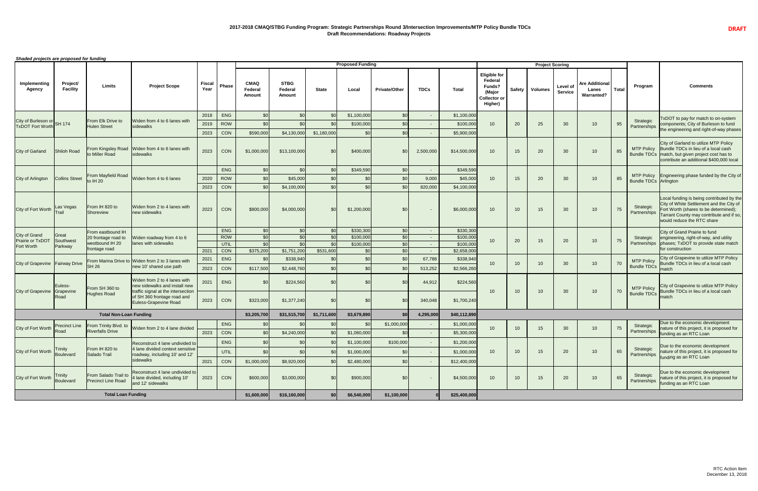*Shaded projects are proposed for funding*

| Shaued projects are proposed for funding           |                             |                                                   |                                                                                            |                |                    |                                         |                                         |                  | <b>Proposed Funding</b> |                                            |             |                          |                                                                                             |               | <b>Project Scoring</b> |                                   |                                                     |              |                              |                                                                                                                                                                                                          |
|----------------------------------------------------|-----------------------------|---------------------------------------------------|--------------------------------------------------------------------------------------------|----------------|--------------------|-----------------------------------------|-----------------------------------------|------------------|-------------------------|--------------------------------------------|-------------|--------------------------|---------------------------------------------------------------------------------------------|---------------|------------------------|-----------------------------------|-----------------------------------------------------|--------------|------------------------------|----------------------------------------------------------------------------------------------------------------------------------------------------------------------------------------------------------|
| Implementing<br><b>Agency</b>                      | Project/<br><b>Facility</b> | <b>Limits</b>                                     | <b>Project Scope</b>                                                                       | Fiscal<br>Year | <b>Phase</b>       | <b>CMAQ</b><br>Federal<br><b>Amount</b> | <b>STBG</b><br>Federal<br><b>Amount</b> | <b>State</b>     | Local                   | <b>Private/Other</b>                       | <b>TDCs</b> | <b>Total</b>             | <b>Eligible for</b><br><b>Federal</b><br>Funds?<br>(Major<br><b>Collector or</b><br>Higher) | <b>Safety</b> | <b>Volumes</b>         | <b>Level of</b><br><b>Service</b> | <b>Are Additional</b><br>Lanes<br><b>Warranted?</b> | <b>Total</b> | Program                      | <b>Comments</b>                                                                                                                                                                                          |
|                                                    |                             |                                                   |                                                                                            | 2018           | <b>ENG</b>         | \$ <sub>6</sub>                         |                                         | \$0              | \$1,100,000             | \$0                                        | $\sim$      | \$1,100,000              |                                                                                             |               |                        |                                   |                                                     |              |                              | TxDOT to pay for match to on-system                                                                                                                                                                      |
| City of Burleson or<br>TxDOT Fort Worth SH 174     |                             | From Elk Drive to<br><b>Hulen Street</b>          | Widen from 4 to 6 lanes with<br>sidewalks                                                  | 2019           | <b>ROW</b>         |                                         |                                         | \$ <sub>6</sub>  | \$100,000               | \$0                                        |             | \$100,00                 | 10                                                                                          | 20            | 25                     | 30                                | 10                                                  | 95           | Strategic<br>Partnerships    | components; City of Burleson to fund                                                                                                                                                                     |
|                                                    |                             |                                                   |                                                                                            | 2023           | CON                | \$590,000                               | \$4,130,000                             | \$1,180,000      | \$C                     | \$0                                        |             | \$5,900,00               |                                                                                             |               |                        |                                   |                                                     |              |                              | the engineering and right-of-way phases                                                                                                                                                                  |
| <b>City of Garland</b>                             | Shiloh Road                 | From Kingsley Road<br>to Miller Road              | Widen from 4 to 6 lanes with<br>sidewalks                                                  | 2023           | CON                | \$1,000,000                             | \$13,100,000                            | \$0              | \$400,000               | \$C                                        | 2,500,000   | \$14,500,000             | 10                                                                                          | 15            | 20                     | 30                                | 10                                                  | 85           | <b>MTP Policy</b>            | City of Garland to utilize MTP Policy<br>Bundle TDCs in lieu of a local cash<br>Bundle TDCs   match, but given project cost has to<br>contribute an additional \$400,000 local                           |
|                                                    |                             |                                                   |                                                                                            |                | <b>ENG</b>         | \$0                                     |                                         | \$ <sub>0</sub>  | \$349,590               | \$0                                        | $\sim$      | \$349,590                |                                                                                             |               |                        |                                   |                                                     |              |                              |                                                                                                                                                                                                          |
| City of Arlington                                  | <b>Collins Street</b>       | From Mayfield Road<br>to IH 20                    | Widen from 4 to 6 lanes                                                                    | 2020           | <b>ROW</b>         | \$ <sub>6</sub>                         | \$45,000                                | \$0              |                         |                                            | 9,000       | \$45,000                 | 10                                                                                          | 15            | 20                     | 30                                | 10                                                  | 85           | <b>Bundle TDCs Arlington</b> | MTP Policy   Engineering phase funded by the City of                                                                                                                                                     |
|                                                    |                             |                                                   |                                                                                            | 2023           | CON                | -\$0                                    | \$4,100,000                             | \$0              | \$C                     |                                            | 820,000     | \$4,100,000              |                                                                                             |               |                        |                                   |                                                     |              |                              |                                                                                                                                                                                                          |
| City of Fort Worth                                 | Las Vegas<br>Frail          | From IH 820 to<br>Shoreview                       | Widen from 2 to 4 lanes with<br>new sidewalks                                              | 2023           | CON                | \$800,000                               | \$4,000,000                             | \$0              | \$1,200,000             | \$0                                        | $\sim$      | \$6,000,000              | 10                                                                                          | 10            | 15                     | 30                                | 10                                                  | 75           | Strategic<br>Partnerships    | Local funding is being contributed by the<br>City of White Settlement and the City of<br>Fort Worth (shares to be determined);<br>Tarrant County may contribute and if so,<br>would reduce the RTC share |
|                                                    |                             | From eastbound IH                                 |                                                                                            |                | <b>ENG</b>         | \$0                                     |                                         | \$0              | \$330,300               | \$0                                        |             | \$330,300                |                                                                                             |               |                        |                                   |                                                     |              |                              | City of Grand Prairie to fund                                                                                                                                                                            |
| <b>City of Grand</b><br>Prairie or TxDOT Southwest | Great                       | 20 frontage road to<br>westbound IH 20            | Widen roadway from 4 to 6<br>lanes with sidewalks                                          |                | <b>ROW</b>         | \$C                                     |                                         | \$ <sub>0</sub>  | \$100,000               | \$0                                        |             | \$100,000                | 10                                                                                          | 20            | 15                     | 20                                | 10                                                  | 75           | Strategic                    | engineering, right-of-way, and utility                                                                                                                                                                   |
| Fort Worth                                         | Parkway                     | frontage road                                     |                                                                                            | 2021           | UTIL<br>---<br>CON | \$0<br>\$375,200                        | S <sub>0</sub><br>\$1,751,200           | \$0<br>\$531,600 | \$100,000<br>\$0        | \$0 <sub>l</sub><br>ΨV<br>\$0 <sub>l</sub> |             | \$100,000<br>\$2,658,000 |                                                                                             |               |                        |                                   |                                                     |              |                              | Partnerships phases; TxDOT to provide state match<br>for construction                                                                                                                                    |
|                                                    |                             |                                                   | From Marina Drive to Widen from 2 to 3 lanes with                                          | 2021           | <b>ENG</b>         | \$0                                     | \$338,940                               | \$0              |                         | \$0                                        | 67,788      | \$338,940                |                                                                                             |               |                        |                                   |                                                     |              | <b>MTP Policy</b>            | City of Grapevine to utilize MTP Policy                                                                                                                                                                  |
| City of Grapevine   Fairway Drive                  |                             | <b>SH 26</b>                                      | new 10' shared use path                                                                    | 2023           | CON                | \$117,500                               | \$2,448,760                             | \$0              |                         |                                            | 513,252     | \$2,566,260              | 10                                                                                          | 10            |                        | 30                                | 10                                                  | 70           | <b>Bundle TDCs</b>           | Bundle TDCs in lieu of a local cash<br>match                                                                                                                                                             |
|                                                    | Euless-                     | From SH 360 to                                    | Widen from 2 to 4 lanes with<br>new sidewalks and install new                              | 2021           | <b>ENG</b>         | \$C                                     | \$224,560                               | \$0              | \$C                     | \$C                                        | 44,912      | \$224,560                |                                                                                             |               |                        |                                   |                                                     |              | <b>MTP Policy</b>            | City of Grapevine to utilize MTP Policy                                                                                                                                                                  |
| <b>City of Grapevine</b>                           | Grapevine<br>Road           | <b>Hughes Road</b>                                | traffic signal at the intersection<br>of SH 360 frontage road and<br>Euless-Grapevine Road | 2023           | CON                | \$323,000                               | \$1,377,240                             | \$0              | \$C                     | \$C                                        | 340,048     | \$1,700,240              | 10                                                                                          | 10            | 10 <sup>°</sup>        | 30                                | 10                                                  | 70           | <b>Bundle TDCs</b>           | Bundle TDCs in lieu of a local cash<br>match                                                                                                                                                             |
|                                                    |                             | <b>Total Non-Loan Funding</b>                     |                                                                                            |                |                    | \$3,205,700                             | \$31,515,700                            | \$1,711,600      | \$3,679,890             | \$0                                        | 4,295,000   | \$40,112,890             |                                                                                             |               |                        |                                   |                                                     |              |                              |                                                                                                                                                                                                          |
|                                                    | <b>Precinct Line</b>        | From Trinity Blvd. to                             |                                                                                            |                | ENG                |                                         |                                         |                  | \$ <sub>C</sub>         | \$1,000,000                                |             | \$1,000,000              |                                                                                             |               |                        |                                   |                                                     |              | Strategic                    | Due to the economic development                                                                                                                                                                          |
| City of Fort Worth                                 | Road                        | <b>Riverfalls Drive</b>                           | Widen from 2 to 4 lane divided                                                             | 2023           | CON                | $$^{6}$                                 | \$4,240,000                             | \$0              | \$1,060,000             |                                            |             | \$5,300,000              | 10                                                                                          | 10            | 15 <sup>15</sup>       | 30                                | 10                                                  | 75           | Partnerships                 | nature of this project, it is proposed for<br>funding as an RTC Loan                                                                                                                                     |
|                                                    |                             |                                                   | Reconstruct 4 lane undivided to                                                            |                | <b>ENG</b>         | \$0                                     |                                         | \$0              | \$1,100,000             | \$100,000                                  |             | \$1,200,000              |                                                                                             |               |                        |                                   |                                                     |              |                              |                                                                                                                                                                                                          |
| City of Fort Worth                                 | <b>Trinity</b><br>Boulevard | From IH 820 to<br>Salado Trail                    | 4 lane divided context sensitive<br>roadway, including 10' and 12'                         |                | UTIL               | $$^{6}$                                 |                                         | \$0              | \$1,000,000             | \$0                                        |             | \$1,000,000              | 10                                                                                          | 10            | 15                     | 20                                | 10                                                  | 65           | Strategic<br>Partnerships    | Due to the economic development<br>nature of this project, it is proposed for                                                                                                                            |
|                                                    |                             |                                                   | sidewalks                                                                                  | 2021           | CON                | \$1,000,000                             | \$8,920,000                             | \$ <sub>6</sub>  | \$2,480,000             | \$0                                        |             | \$12,400,000             |                                                                                             |               |                        |                                   |                                                     |              |                              | funding as an RTC Loan                                                                                                                                                                                   |
| City of Fort Worth                                 | <b>Trinity</b><br>Boulevard | From Salado Trail to<br><b>Precinct Line Road</b> | Reconstruct 4 lane undivided to<br>4 lane divided, including 10'<br>and 12' sidewalks      | 2023           | CON                | \$600,000                               | \$3,000,000                             | \$0              | \$900,000               | \$0                                        |             | \$4,500,000              | 10                                                                                          | 10            | 15                     | 20                                | 10                                                  | 65           | Strategic<br>Partnerships    | Due to the economic development<br>nature of this project, it is proposed for<br>funding as an RTC Loan                                                                                                  |
|                                                    |                             | <b>Total Loan Funding</b>                         |                                                                                            |                |                    | \$1,600,000                             | \$16,160,000                            | \$0              | \$6,540,000             | \$1,100,000                                |             | \$25,400,000             |                                                                                             |               |                        |                                   |                                                     |              |                              |                                                                                                                                                                                                          |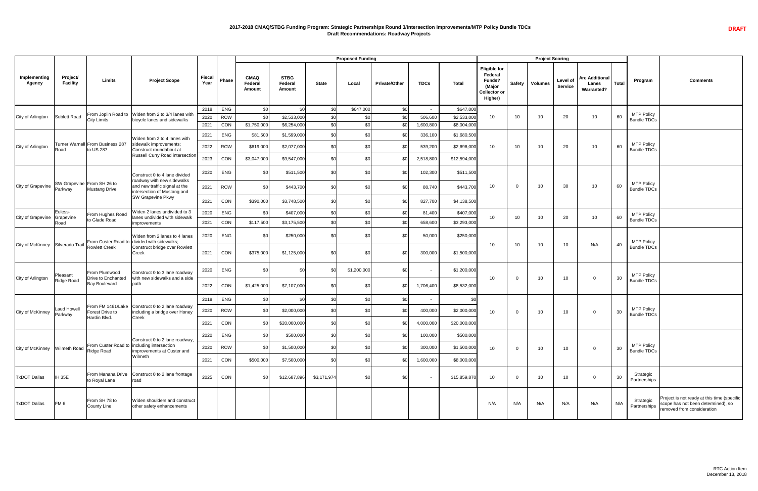## **2017-2018 CMAQ/STBG Funding Program: Strategic Partnerships Round 3/Intersection Improvements/MTP Policy Bundle TDCs Draft Recommendations: Roadway Projects**

**DRAFT**

|                                  |                             |                                                                  |                                                                                            |                       |              |                                         |                                         |              | <b>Proposed Funding</b> |                      |                          |              |                                                                                      |               | <b>Project Scoring</b> |                            |                                                            |              |                                         |                                                                                                                 |
|----------------------------------|-----------------------------|------------------------------------------------------------------|--------------------------------------------------------------------------------------------|-----------------------|--------------|-----------------------------------------|-----------------------------------------|--------------|-------------------------|----------------------|--------------------------|--------------|--------------------------------------------------------------------------------------|---------------|------------------------|----------------------------|------------------------------------------------------------|--------------|-----------------------------------------|-----------------------------------------------------------------------------------------------------------------|
| Implementing<br><b>Agency</b>    | Project/<br><b>Facility</b> | <b>Limits</b>                                                    | <b>Project Scope</b>                                                                       | <b>Fiscal</b><br>Year | <b>Phase</b> | <b>CMAQ</b><br>Federal<br><b>Amount</b> | <b>STBG</b><br>Federal<br><b>Amount</b> | <b>State</b> | Local                   | <b>Private/Other</b> | <b>TDCs</b>              | <b>Total</b> | <b>Eligible for</b><br>Federal<br>Funds?<br>(Major<br><b>Collector or</b><br>Higher) | <b>Safety</b> | <b>Volumes</b>         | Level of<br><b>Service</b> | <b>Are Additional</b><br><b>Lanes</b><br><b>Warranted?</b> | <b>Total</b> | Program                                 | <b>Comments</b>                                                                                                 |
|                                  |                             |                                                                  | From Joplin Road to Widen from 2 to 3/4 lanes with                                         | 2018                  | ENG          | \$0                                     |                                         | \$0          | \$647,000               | \$0                  | $\overline{\phantom{0}}$ | \$647,000    |                                                                                      |               |                        |                            |                                                            |              |                                         |                                                                                                                 |
| City of Arlington                | <b>Sublett Road</b>         | <b>City Limits</b>                                               | bicycle lanes and sidewalks                                                                | 2020                  | <b>ROW</b>   | \$0                                     | \$2,533,000                             | \$C          | \$0                     |                      | 506,600                  | \$2,533,000  | 10 <sup>1</sup>                                                                      | 10            | 10                     | 20                         | 10 <sup>°</sup>                                            | 60           | <b>MTP Policy</b><br><b>Bundle TDCs</b> |                                                                                                                 |
|                                  |                             |                                                                  |                                                                                            | 2021                  | CON          | \$1,750,000                             | \$6,254,000                             | \$0          | \$0                     |                      | 1,600,800                | \$8,004,000  |                                                                                      |               |                        |                            |                                                            |              |                                         |                                                                                                                 |
|                                  |                             |                                                                  | Widen from 2 to 4 lanes with                                                               | 2021                  | <b>ENG</b>   | \$81,500                                | \$1,599,000                             | \$0          | \$0                     |                      | 336,100                  | \$1,680,500  |                                                                                      |               |                        |                            |                                                            |              |                                         |                                                                                                                 |
| City of Arlington                | Road                        | Turner Warnell From Business 287<br>to US 287                    | sidewalk improvements;<br>Construct roundabout at                                          | 2022                  | <b>ROW</b>   | \$619,000                               | \$2,077,000                             | \$0          | \$0                     |                      | 539,200                  | \$2,696,000  | 10 <sup>1</sup>                                                                      | 10            | 10                     | 20                         | 10                                                         | 60           | <b>MTP Policy</b><br><b>Bundle TDCs</b> |                                                                                                                 |
|                                  |                             |                                                                  | <b>Russell Curry Road intersection</b>                                                     | 2023                  | CON          | \$3,047,000                             | \$9,547,000                             | \$0          | \$0                     |                      | 2,518,800                | \$12,594,000 |                                                                                      |               |                        |                            |                                                            |              |                                         |                                                                                                                 |
|                                  |                             |                                                                  | Construct 0 to 4 lane divided                                                              | 2020                  | ENG          | \$0                                     | \$511,500                               | \$0          | \$0                     | \$0                  | 102,300                  | \$511,500    |                                                                                      |               |                        |                            |                                                            |              |                                         |                                                                                                                 |
| City of Grapevine                | Parkway                     | SW Grapevine From SH 26 to<br>Mustang Drive                      | roadway with new sidewalks<br>and new traffic signal at the<br>intersection of Mustang and | 2021                  | <b>ROW</b>   | \$0                                     | \$443,700                               | \$0          | \$0                     | \$0                  | 88,740                   | \$443,700    | 10                                                                                   | $\Omega$      | 10 <sup>°</sup>        | 30                         | 10                                                         | 60           | <b>MTP Policy</b><br><b>Bundle TDCs</b> |                                                                                                                 |
|                                  |                             |                                                                  | <b>SW Grapevine Pkwy</b>                                                                   | 2021                  | CON          | \$390,000                               | \$3,748,500                             | \$0          | \$0.                    |                      | 827,700                  | \$4,138,500  |                                                                                      |               |                        |                            |                                                            |              |                                         |                                                                                                                 |
|                                  | Euless-                     | From Hughes Road                                                 | Widen 2 lanes undivided to 3<br>lanes undivided with sidewalk                              | 2020                  | ENG          | \$0                                     | \$407,000                               | \$0          | \$0                     |                      | 81,400                   | \$407,000    |                                                                                      |               |                        |                            |                                                            |              | <b>MTP Policy</b>                       |                                                                                                                 |
| City of Grapevine   Grapevine    | Road                        | to Glade Road                                                    | <i>improvements</i>                                                                        | 2021                  | CON          | \$117,500                               | \$3,175,500                             | \$0          | \$0 <sub>1</sub>        |                      | 658,600                  | \$3,293,000  | 10                                                                                   | 10            | 10 <sup>°</sup>        | 20                         | 10 <sup>°</sup>                                            | 60           | <b>Bundle TDCs</b>                      |                                                                                                                 |
|                                  |                             |                                                                  | Widen from 2 lanes to 4 lanes<br>From Custer Road to divided with sidewalks;               | 2020                  | ENG          | \$0                                     | \$250,000                               | \$0          | \$0                     | \$0                  | 50,000                   | \$250,000    |                                                                                      |               |                        |                            |                                                            |              | <b>MTP Policy</b>                       |                                                                                                                 |
| City of McKinney Silverado Trail |                             | <b>Rowlett Creek</b>                                             | Construct bridge over Rowlett<br><b>Creek</b>                                              | 2021                  | CON          | \$375,000                               | \$1,125,000                             | \$0          | <b>\$C</b>              | \$0                  | 300,000                  | \$1,500,000  | 10 <sup>°</sup>                                                                      | 10            | 10 <sup>°</sup>        | 10                         | N/A                                                        | 40           | <b>Bundle TDCs</b>                      |                                                                                                                 |
| City of Arlington                | Pleasant                    | From Plumwood<br>Drive to Enchanted                              | Construct 0 to 3 lane roadway<br>with new sidewalks and a side                             | 2020                  | <b>ENG</b>   | \$0                                     |                                         | \$0          | \$1,200,000             | \$0                  |                          | \$1,200,000  | 10                                                                                   | $\Omega$      | 10 <sup>°</sup>        | 10 <sup>°</sup>            | $\overline{0}$                                             | 30           | <b>MTP Policy</b>                       |                                                                                                                 |
|                                  | <b>Ridge Road</b>           | <b>Bay Boulevard</b>                                             | path                                                                                       | 2022                  | CON          | \$1,425,000                             | \$7,107,000                             | \$C          | \$0                     |                      | 1,706,400                | \$8,532,000  |                                                                                      |               |                        |                            |                                                            |              | <b>Bundle TDCs</b>                      |                                                                                                                 |
|                                  |                             |                                                                  |                                                                                            | 2018                  | ENG          |                                         |                                         | \$0          | \$0                     |                      |                          |              |                                                                                      |               |                        |                            |                                                            |              |                                         |                                                                                                                 |
| City of McKinney   Parkway       | Laud Howell                 | <b>Forest Drive to</b>                                           | From FM 1461/Lake Construct 0 to 2 lane roadway<br>including a bridge over Honey           | 2020                  | <b>ROW</b>   | -\$0                                    | \$2,000,000                             | \$0          | \$C                     | \$ſ                  | 400,000                  | \$2,000,000  | 10 <sup>1</sup>                                                                      |               | 10 <sup>°</sup>        | 10 <sup>°</sup>            | $\overline{0}$                                             | 30           | <b>MTP Policy</b><br><b>Bundle TDCs</b> |                                                                                                                 |
|                                  |                             | Hardin Blvd.                                                     | <b>Creek</b>                                                                               | 2021                  | CON          |                                         | \$20,000,000                            | \$C          | \$C                     |                      | 4,000,000                | \$20,000,000 |                                                                                      |               |                        |                            |                                                            |              |                                         |                                                                                                                 |
|                                  |                             |                                                                  | Construct 0 to 2 lane roadway,                                                             | 2020                  | ENG          |                                         | \$500,000                               | \$C          | \$C                     |                      | 100,000                  | \$500,000    |                                                                                      |               |                        |                            |                                                            |              |                                         |                                                                                                                 |
| City of McKinney Wilmeth Road    |                             | From Custer Road to lincluding intersection<br><b>Ridge Road</b> | improvements at Custer and                                                                 | 2020                  | <b>ROW</b>   | .\$ር                                    | \$1,500,000                             | \$0          | <b>\$C</b>              |                      | 300,000                  | \$1,500,000  | 10 <sup>1</sup>                                                                      | $\Omega$      | 10 <sup>°</sup>        | 10 <sup>°</sup>            | $\overline{0}$                                             | 30           | <b>MTP Policy</b><br><b>Bundle TDCs</b> |                                                                                                                 |
|                                  |                             |                                                                  | Wilmeth                                                                                    | 2021                  | CON          | \$500,000                               | \$7,500,000                             | \$0          | \$0                     | \$(                  | 1,600,000                | \$8,000,000  |                                                                                      |               |                        |                            |                                                            |              |                                         |                                                                                                                 |
| <b>TxDOT Dallas</b>              | <b>IH 35E</b>               | to Royal Lane                                                    | From Manana Drive   Construct 0 to 2 lane frontage<br>road                                 | 2025                  | CON          | <b>\$0</b>                              | \$12,687,896                            | \$3,171,974  | \$0                     | \$0                  |                          | \$15,859,870 | 10 <sup>°</sup>                                                                      |               | 10                     | 10 <sup>°</sup>            | $\Omega$                                                   | 30           | Strategic<br>Partnerships               |                                                                                                                 |
| <b>TxDOT Dallas</b>              | FM <sub>6</sub>             | From SH 78 to<br><b>County Line</b>                              | Widen shoulders and construct<br>other safety enhancements                                 |                       |              |                                         |                                         |              |                         |                      |                          |              | N/A                                                                                  | N/A           | N/A                    | N/A                        | N/A                                                        | N/A          | Strategic<br>Partnerships               | Project is not ready at this time (specific<br>scope has not been determined), so<br>removed from consideration |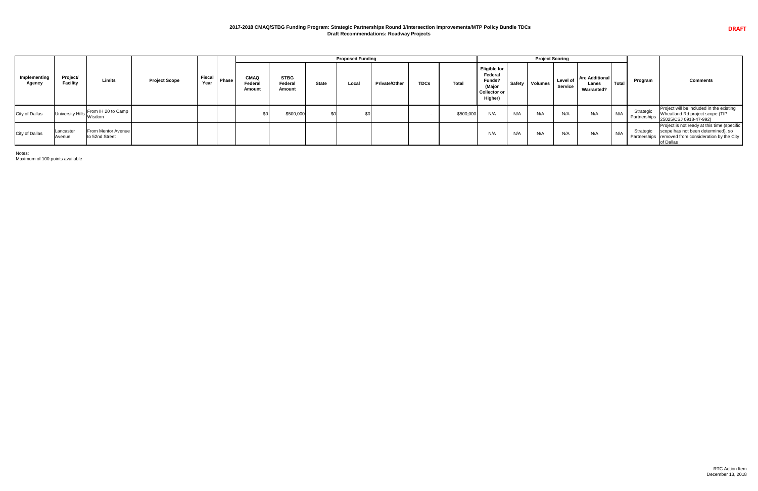## **2017-2018 CMAQ/STBG Funding Program: Strategic Partnerships Round 3/Intersection Improvements/MTP Policy Bundle TDCs Draft Recommendations: Roadway Projects**

|                        |                             |                                               |                      |                       |       |                                                |                                         |              | <b>Proposed Funding</b> |                      |             |              |                                                                                      |     | <b>Project Scoring</b> |                            |                                                     |              |                           |                                                                                                                                                         |
|------------------------|-----------------------------|-----------------------------------------------|----------------------|-----------------------|-------|------------------------------------------------|-----------------------------------------|--------------|-------------------------|----------------------|-------------|--------------|--------------------------------------------------------------------------------------|-----|------------------------|----------------------------|-----------------------------------------------------|--------------|---------------------------|---------------------------------------------------------------------------------------------------------------------------------------------------------|
| Implementing<br>Agency | Project/<br><b>Facility</b> | Limits                                        | <b>Project Scope</b> | <b>Fiscal</b><br>Year | Phase | <b>CMAQ</b><br><b>Federal</b><br><b>Amount</b> | <b>STBG</b><br>Federal<br><b>Amount</b> | <b>State</b> | Local                   | <b>Private/Other</b> | <b>TDCs</b> | <b>Total</b> | <b>Eligible for</b><br>Federal<br>Funds?<br>(Major<br><b>Collector or</b><br>Higher) |     | Safety   Volumes       | Level of<br><b>Service</b> | <b>Are Additional</b><br>Lanes<br><b>Warranted?</b> | <b>Total</b> | Program                   | <b>Comments</b>                                                                                                                                         |
| <b>City of Dallas</b>  |                             | From IH 20 to Camp<br>University Hills Wisdom |                      |                       |       |                                                | \$500,000                               | \$0          |                         |                      |             | \$500,000    | N/A                                                                                  | N/A | N/A                    | N/A                        | N/A                                                 | N/A          | Strategic<br>Partnerships | Project will be included in the existing<br>Wheatland Rd project scope (TIP<br>25025/CSJ 0918-47-992)                                                   |
| <b>City of Dallas</b>  | Lancaster<br>Avenue         | From Mentor Avenue<br>to 52nd Street          |                      |                       |       |                                                |                                         |              |                         |                      |             |              | N/A                                                                                  | N/A | N/A                    | N/A                        | N/A                                                 | N/A          | Strategic                 | Project is not ready at this time (specific<br>scope has not been determined), so<br>Partnerships   removed from consideration by the City<br>of Dallas |

Notes:

Maximum of 100 points available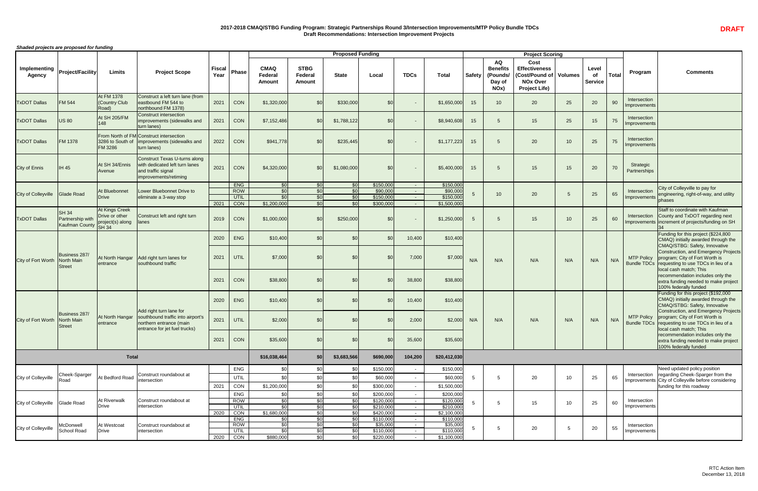## **2017-2018 CMAQ/STBG Funding Program: Strategic Partnerships Round 3/Intersection Improvements/MTP Policy Bundle TDCs Draft Recommendations: Intersection Improvement Projects**

*Shaded projects are proposed for funding*

|                                      |                                                                            |                                                               |                                                                                                                          |                       |                           |                                         |                                         | <b>Proposed Funding</b>                                  |                        |                           |                                 |                  |                                                            | <b>Project Scoring</b>                                                                     |                |                         |              |                              |                                                                                                                                                                                                                                                                                                                    |
|--------------------------------------|----------------------------------------------------------------------------|---------------------------------------------------------------|--------------------------------------------------------------------------------------------------------------------------|-----------------------|---------------------------|-----------------------------------------|-----------------------------------------|----------------------------------------------------------|------------------------|---------------------------|---------------------------------|------------------|------------------------------------------------------------|--------------------------------------------------------------------------------------------|----------------|-------------------------|--------------|------------------------------|--------------------------------------------------------------------------------------------------------------------------------------------------------------------------------------------------------------------------------------------------------------------------------------------------------------------|
| <b>Implementing</b><br><b>Agency</b> | <b>Project/Facility</b>                                                    | <b>Limits</b>                                                 | <b>Project Scope</b>                                                                                                     | <b>Fiscal</b><br>Year | <b>Phase</b>              | <b>CMAQ</b><br>Federal<br><b>Amount</b> | <b>STBG</b><br>Federal<br><b>Amount</b> | <b>State</b>                                             | Local                  | <b>TDCs</b>               | <b>Total</b>                    | <b>Safety</b>    | <b>AQ</b><br><b>Benefits</b><br>(Pounds/<br>Day of<br>NOx) | Cost<br><b>Effectiveness</b><br>Cost/Pound of  <br><b>NOx Over</b><br><b>Project Life)</b> | <b>Volumes</b> | Level<br><b>Service</b> | <b>Total</b> | Program                      | <b>Comments</b>                                                                                                                                                                                                                                                                                                    |
| <b>TxDOT Dallas</b>                  | <b>FM 544</b>                                                              | At FM 1378<br>(Country Club<br>Road)                          | Construct a left turn lane (from<br>eastbound FM 544 to<br>northbound FM 1378)                                           | 2021                  | CON                       | \$1,320,000                             | \$0                                     | \$330,000                                                | \$0                    |                           | \$1,650,000                     | 15               | 10                                                         | 20                                                                                         | 25             | 20                      | 90           | Intersection<br>Improvements |                                                                                                                                                                                                                                                                                                                    |
| <b>TxDOT Dallas</b>                  | <b>US 80</b>                                                               | <b>At SH 205/FM</b><br>148                                    | <b>Construct intersection</b><br>improvements (sidewalks and<br>turn lanes)                                              | 2021                  | <b>CON</b>                | \$7,152,486                             | \$0                                     | \$1,788,122                                              | \$0                    |                           | \$8,940,608                     | 15               |                                                            | 15                                                                                         | 25             | 15                      | 75           | Intersection<br>Improvements |                                                                                                                                                                                                                                                                                                                    |
| <b>TxDOT Dallas</b>                  | <b>FM 1378</b>                                                             | <b>FM 3286</b>                                                | From North of FM Construct intersection<br>3286 to South of   improvements (sidewalks and<br>turn lanes)                 | 2022                  | CON                       | \$941,778                               | \$0                                     | \$235,445                                                | \$0                    |                           | \$1,177,223                     | 15               |                                                            | 20                                                                                         | 10             | 25                      | 75           | Intersection<br>Improvements |                                                                                                                                                                                                                                                                                                                    |
| <b>City of Ennis</b>                 | <b>IH 45</b>                                                               | At SH 34/Ennis<br>Avenue                                      | Construct Texas U-turns along<br>with dedicated left turn lanes<br>and traffic signal<br>improvements/retiming           | 2021                  | CON                       | \$4,320,000                             | \$0                                     | \$1,080,000                                              | \$0                    | $\sim$                    | \$5,400,000                     | 15 <sub>15</sub> |                                                            | 15                                                                                         | 15             | 20                      | 70           | Strategic<br>Partnerships    |                                                                                                                                                                                                                                                                                                                    |
|                                      |                                                                            |                                                               |                                                                                                                          |                       | <b>ENG</b>                | \$0                                     | \$0                                     | SOI.                                                     | \$150,000              | $\sim$ $-$                | \$150,000                       |                  |                                                            |                                                                                            |                |                         |              |                              | City of Colleyville to pay for                                                                                                                                                                                                                                                                                     |
| <b>City of Colleyville</b>           | Glade Road                                                                 | At Bluebonnet<br><b>Drive</b>                                 | Lower Bluebonnet Drive to<br>eliminate a 3-way stop                                                                      |                       | <b>ROW</b><br>UTIL        | \$0<br>$\overline{30}$                  | \$0<br>SO <sub>1</sub>                  | $\mathcal{S}$ <sup><math>\mathcal{O}</math></sup><br>\$0 | \$90,000<br>\$150,000  | $\sim$ $-$                | \$90,000<br>\$150,000           | 5                | 10 <sup>°</sup>                                            | 20                                                                                         |                | 25                      | 65           | Intersection                 | engineering, right-of-way, and utility                                                                                                                                                                                                                                                                             |
|                                      |                                                                            |                                                               |                                                                                                                          | 2021                  | CON                       | \$1,200,000                             | \$0                                     | $C \cap$                                                 | \$300,000              | $\sim$ 10 $\pm$           | \$1,500,000                     |                  |                                                            |                                                                                            |                |                         |              | Improvements                 | phases                                                                                                                                                                                                                                                                                                             |
| <b>TxDOT Dallas</b>                  | $\overline{\smash{\mathsf{SH}}\,34}$<br>Partnership with<br>Kaufman County | At Kings Creek<br>Drive or other<br>project(s) along<br>SH 34 | Construct left and right turn<br>lanes                                                                                   | 2019                  | CON                       | \$1,000,000                             | \$0                                     | \$250,000                                                | \$0                    | $\sim$                    | \$1,250,000                     | $5^{\circ}$      |                                                            | 15                                                                                         | 10             | 25                      | 60           | Intersection                 | Staff to coordinate with Kaufman<br>County and TxDOT regarding next<br>Improvements increment of projects/funding on SH                                                                                                                                                                                            |
|                                      |                                                                            |                                                               |                                                                                                                          | 2020                  |                           |                                         | \$0                                     |                                                          | \$C                    |                           |                                 |                  |                                                            |                                                                                            |                |                         |              |                              | Funding for this project (\$224,800                                                                                                                                                                                                                                                                                |
| City of Fort Worth                   | Business 287/<br>North Main<br><b>S</b> treet                              | At North Hangar<br>entrance                                   | Add right turn lanes for<br>southbound traffic                                                                           | 2021<br>2021          | <b>ENG</b><br>UTIL<br>CON | \$10,400<br>\$7,000<br>\$38,800         | \$C<br>\$C                              | \$0                                                      | \$0<br>\$0             | 10,400<br>7,000<br>38,800 | \$10,400<br>\$7,000<br>\$38,800 | N/A              | N/A                                                        | N/A                                                                                        | N/A            | N/A                     | N/A          |                              | CMAQ) initially awarded through the<br>CMAQ/STBG: Safety, Innovative<br>Construction, and Emergency Projects<br>MTP Policy program; City of Fort Worth is<br>Bundle TDCs requesting to use TDCs in lieu of a<br>local cash match; This<br>recommendation includes only the<br>extra funding needed to make project |
|                                      |                                                                            |                                                               |                                                                                                                          | 2020                  | <b>ENG</b>                | \$10,400                                | \$C                                     |                                                          | \$C                    | 10,400                    | \$10,400                        |                  |                                                            |                                                                                            |                |                         |              |                              | 100% federally funded<br>Funding for this project (\$192,000<br>CMAQ) initially awarded through the<br>CMAQ/STBG: Safety, Innovative                                                                                                                                                                               |
| City of Fort Worth                   | Business 287/<br><b>North Main</b><br>Street                               | At North Hangar<br>entrance                                   | Add right turn lane for<br>southbound traffic into airport's<br>northern entrance (main<br>entrance for jet fuel trucks) | 2021                  | UTIL                      | \$2,000                                 |                                         |                                                          | \$0                    | 2,000                     | \$2,000                         | N/A              | N/A                                                        | N/A                                                                                        | N/A            | N/A                     | N/A          | <b>MTP Policy</b>            | Construction, and Emergency Projects<br>program; City of Fort Worth is<br>Bundle TDCs requesting to use TDCs in lieu of a<br>local cash match; This                                                                                                                                                                |
|                                      |                                                                            |                                                               |                                                                                                                          | 2021                  | CON                       | \$35,600                                | $\mathcal{S}$                           |                                                          | \$0                    | 35,600                    | \$35,600                        |                  |                                                            |                                                                                            |                |                         |              |                              | recommendation includes only the<br>extra funding needed to make project<br>100% federally funded                                                                                                                                                                                                                  |
|                                      |                                                                            | <b>Total</b>                                                  |                                                                                                                          |                       |                           | \$16,038,464                            | \$0                                     | \$3,683,566                                              | \$690,000              | 104,200                   | \$20,412,030                    |                  |                                                            |                                                                                            |                |                         |              |                              |                                                                                                                                                                                                                                                                                                                    |
|                                      |                                                                            |                                                               |                                                                                                                          |                       | <b>ENG</b>                | \$C                                     |                                         |                                                          | \$150,000              |                           | \$150,000                       |                  |                                                            |                                                                                            |                |                         |              |                              | Need updated policy position                                                                                                                                                                                                                                                                                       |
| City of Colleyville                  | Cheek-Sparger<br>Road                                                      | At Bedford Road                                               | Construct roundabout at<br>intersection                                                                                  |                       | UTIL                      |                                         |                                         |                                                          | \$60,000               |                           | \$60,000                        | $\overline{5}$   |                                                            | 20                                                                                         | 10             | 25                      | 65           | Intersection                 | regarding Cheek-Sparger from the<br>Improvements City of Colleyville before considering                                                                                                                                                                                                                            |
|                                      |                                                                            |                                                               |                                                                                                                          | 2021                  | CON                       | \$1,200,000                             | \$ <sub>6</sub>                         |                                                          | \$300,000              | $\sim$                    | \$1,500,000                     |                  |                                                            |                                                                                            |                |                         |              |                              | funding for this roadway                                                                                                                                                                                                                                                                                           |
|                                      |                                                                            | At Riverwalk                                                  | Construct roundabout at                                                                                                  |                       | <b>ENG</b>                | \$0                                     | \$C                                     | \$0                                                      | \$200,000              | $\blacksquare$            | \$200,000                       |                  |                                                            |                                                                                            |                |                         |              | Intersection                 |                                                                                                                                                                                                                                                                                                                    |
| City of Colleyville                  | Glade Road                                                                 | <b>Drive</b>                                                  | intersection                                                                                                             |                       | <b>ROW</b><br>UTIL        | \$0<br>$\overline{30}$                  | \$0<br>\$0                              | \$0<br>$\overline{30}$                                   | \$120,000<br>\$210,000 | $\sim$<br>$\sim$          | \$120,000<br>\$210,000          |                  |                                                            | 15                                                                                         | 10             | 25                      | 60           | Improvements                 |                                                                                                                                                                                                                                                                                                                    |
|                                      |                                                                            |                                                               |                                                                                                                          | 2020                  | CON                       | \$1,680,000                             | \$0                                     | \$0                                                      | \$420,000              | $\sim$                    | \$2,100,000                     |                  |                                                            |                                                                                            |                |                         |              |                              |                                                                                                                                                                                                                                                                                                                    |
|                                      |                                                                            |                                                               |                                                                                                                          |                       | <b>ENG</b>                | \$0                                     | \$0                                     | $\overline{30}$                                          | \$110,000              | $\sim 100$                | \$110,000                       |                  |                                                            |                                                                                            |                |                         |              |                              |                                                                                                                                                                                                                                                                                                                    |
| City of Colleyville                  | McDonwell                                                                  | At Westcoat                                                   | Construct roundabout at                                                                                                  |                       | <b>ROW</b>                | $\overline{50}$<br>\$0                  | $\overline{50}$<br>\$0                  | $\overline{50}$<br>\$0                                   | \$35,000               | $\sim$                    | \$35,000                        |                  |                                                            | 20                                                                                         |                | 20                      | 55           | Intersection                 |                                                                                                                                                                                                                                                                                                                    |
|                                      | School Road                                                                | Drive                                                         | intersection                                                                                                             | 2020                  | UTIL<br>CON               | \$880,000                               | <b>\$0</b>                              | ീവ                                                       | \$110,000<br>\$220,000 | $\sim$ $-$<br>$\sim$      | \$110,000<br>\$1,100,000        |                  |                                                            |                                                                                            |                |                         |              | Improvements                 |                                                                                                                                                                                                                                                                                                                    |
|                                      |                                                                            |                                                               |                                                                                                                          |                       |                           |                                         |                                         |                                                          |                        |                           |                                 |                  |                                                            |                                                                                            |                |                         |              |                              |                                                                                                                                                                                                                                                                                                                    |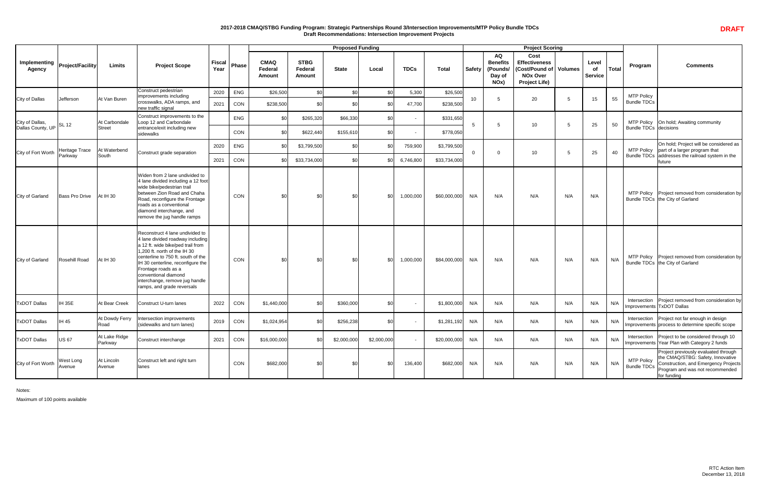### **2017-2018 CMAQ/STBG Funding Program: Strategic Partnerships Round 3/Intersection Improvements/MTP Policy Bundle TDCs Draft Recommendations: Intersection Improvement Projects**

|                                                  |                            |                                |                                                                                                                                                                                                                                                                                                                                    |                       |                   |                                         |                                         | <b>Proposed Funding</b> |                         |                      |                             |                 |                                                                         | <b>Project Scoring</b>                                                                                           |     |                               |              |                                         |                                                                                                                                                                     |
|--------------------------------------------------|----------------------------|--------------------------------|------------------------------------------------------------------------------------------------------------------------------------------------------------------------------------------------------------------------------------------------------------------------------------------------------------------------------------|-----------------------|-------------------|-----------------------------------------|-----------------------------------------|-------------------------|-------------------------|----------------------|-----------------------------|-----------------|-------------------------------------------------------------------------|------------------------------------------------------------------------------------------------------------------|-----|-------------------------------|--------------|-----------------------------------------|---------------------------------------------------------------------------------------------------------------------------------------------------------------------|
| Implementing   Project/Facility<br><b>Agency</b> |                            | <b>Limits</b>                  | <b>Project Scope</b>                                                                                                                                                                                                                                                                                                               | <b>Fiscal</b><br>Year | <b>Phase</b>      | <b>CMAQ</b><br>Federal<br><b>Amount</b> | <b>STBG</b><br>Federal<br><b>Amount</b> | <b>State</b>            | Local                   | <b>TDCs</b>          | <b>Total</b>                | Safety          | <b>AQ</b><br><b>Benefits</b><br>(Pounds/<br>Day of<br>NO <sub>x</sub> ) | <b>Cost</b><br><b>Effectiveness</b><br><b>Cost/Pound of   Volumes</b><br><b>NOx Over</b><br><b>Project Life)</b> |     | Level<br>0f<br><b>Service</b> | <b>Total</b> | Program                                 | <b>Comments</b>                                                                                                                                                     |
| <b>City of Dallas</b>                            | Jefferson                  | At Van Buren                   | Construct pedestrian<br>improvements including<br>crosswalks, ADA ramps, and<br>new traffic signal                                                                                                                                                                                                                                 | 2020<br>2021          | <b>ENG</b><br>CON | \$26,500<br>\$238,500                   | \$0<br>-\$0                             |                         | \$ <sub>0</sub><br>.\$በ | 5,300<br>47,700      | \$26,500<br>\$238,500       | 10 <sup>°</sup> |                                                                         | 20                                                                                                               |     | 15                            | 55           | <b>MTP Policy</b><br><b>Bundle TDCs</b> |                                                                                                                                                                     |
| City of Dallas,<br>Dallas County, UP SL 12       |                            | At Carbondale<br><b>Street</b> | Construct improvements to the<br>Loop 12 and Carbondale<br>entrance/exit including new<br>sidewalks                                                                                                                                                                                                                                |                       | <b>ENG</b><br>CON | \$0<br>\$C                              | \$265,320<br>\$622,440                  | \$66,330<br>\$155,610   | \$0<br>\$0              |                      | \$331,650<br>\$778,050      | -5              |                                                                         | 10 <sup>°</sup>                                                                                                  |     | 25                            | 50           | <b>Bundle TDCs decisions</b>            | MTP Policy   On hold; Awaiting community                                                                                                                            |
| City of Fort Worth                               | Heritage Trace<br>Parkway  | At Waterbend<br>South          | Construct grade separation                                                                                                                                                                                                                                                                                                         | 2020<br>2021          | <b>ENG</b><br>CON | $\mathcal{L}$<br>$\mathcal{L}$          | \$3,799,500<br>\$33,734,000             |                         | ድር<br>\$ſ               | 759,900<br>6,746,800 | \$3,799,500<br>\$33,734,000 | $\Omega$        |                                                                         | 10 <sup>°</sup>                                                                                                  |     | 25                            | 40           |                                         | On hold; Project will be considered as<br>MTP Policy   part of a larger program that<br>Bundle TDCs addresses the railroad system in the<br>future                  |
| City of Garland                                  | <b>Bass Pro Drive</b>      | At IH 30                       | Widen from 2 lane undivided to<br>4 lane divided including a 12 foot<br>wide bike/pedestrian trail<br>between Zion Road and Chaha<br>Road, reconfigure the Frontage<br>roads as a conventional<br>diamond interchange, and<br>remove the jug handle ramps                                                                          |                       | CON               | \$0                                     | \$0                                     | \$0                     | \$0                     | 1,000,000            | \$60,000,000                | N/A             | N/A                                                                     | N/A                                                                                                              | N/A | N/A                           |              |                                         | MTP Policy   Project removed from consideration by<br>Bundle TDCs   the City of Garland                                                                             |
| <b>City of Garland</b>                           | Rosehill Road              | At IH 30                       | Reconstruct 4 lane undivided to<br>4 lane divided roadway including<br>a 12 ft. wide bike/ped trail from<br>1,200 ft. north of the IH 30<br>centerline to 750 ft. south of the<br>IH 30 centerline, reconfigure the<br>Frontage roads as a<br>conventional diamond<br>interchange, remove jug handle<br>ramps, and grade reversals |                       | CON               | \$0                                     |                                         | \$0                     | \$0                     | 1,000,000            | \$84,000,000                | N/A             | N/A                                                                     | N/A                                                                                                              | N/A | N/A                           | N/A          |                                         | MTP Policy   Project removed from consideration by<br>Bundle TDCs   the City of Garland                                                                             |
| <b>TxDOT Dallas</b>                              | IH 35E                     | At Bear Creek                  | Construct U-turn lanes                                                                                                                                                                                                                                                                                                             | 2022                  | CON               | \$1,440,000                             |                                         | \$360,000               | \$0                     |                      | \$1,800,000                 | N/A             | N/A                                                                     | N/A                                                                                                              | N/A | N/A                           | N/A          | Intersection                            | Project removed from consideration by<br>Improvements TxDOT Dallas                                                                                                  |
| <b>TxDOT Dallas</b>                              | <b>IH 45</b>               | At Dowdy Ferry<br>Road         | Intersection improvements<br>(sidewalks and turn lanes)                                                                                                                                                                                                                                                                            | 2019                  | CON               | \$1,024,954                             | \$C                                     | \$256,238               | \$0                     |                      | \$1,281,192                 | N/A             | N/A                                                                     | N/A                                                                                                              | N/A | N/A                           | N/A          |                                         | Intersection   Project not far enough in design<br>Improvements process to determine specific scope                                                                 |
| <b>TxDOT Dallas</b>                              | <b>US 67</b>               | At Lake Ridge<br>Parkway       | Construct interchange                                                                                                                                                                                                                                                                                                              | 2021                  | CON               | \$16,000,000                            | \$0                                     | \$2,000,000             | \$2,000,000             |                      | \$20,000,000                | N/A             | N/A                                                                     | N/A                                                                                                              | N/A | N/A                           | N/A          | Intersection                            | Project to be considered through 10<br>Improvements Year Plan with Category 2 funds                                                                                 |
| City of Fort Worth                               | <b>West Long</b><br>Avenue | At Lincoln<br>Avenue           | Construct left and right turn<br>lanes                                                                                                                                                                                                                                                                                             |                       | CON               | \$682,000                               | \$C                                     |                         | \$0                     | 136,400              | \$682,000                   | N/A             | N/A                                                                     | N/A                                                                                                              | N/A | N/A                           | N/A          | <b>MTP Policy</b><br><b>Bundle TDCs</b> | Project previously evaluated through<br>the CMAQ/STBG: Safety, Innovative<br>Construction, and Emergency Projects<br>Program and was not recommended<br>for funding |

Notes:

Maximum of 100 points available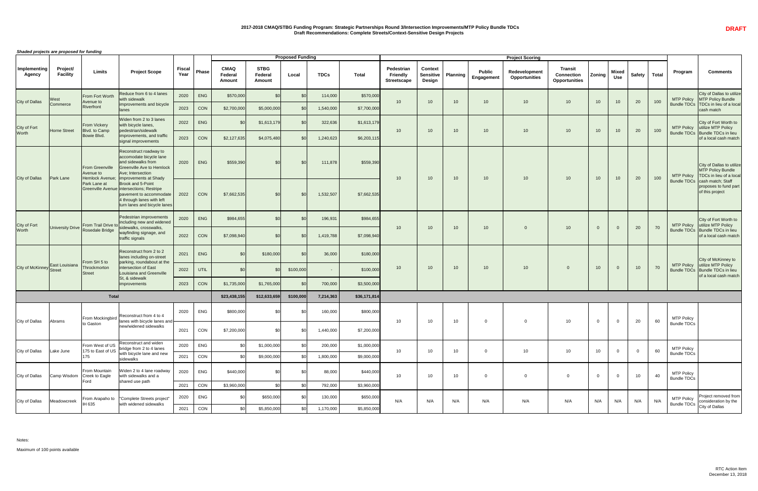## **2017-2018 CMAQ/STBG Funding Program: Strategic Partnerships Round 3/Intersection Improvements/MTP Policy Bundle TDCs Draft Recommendations: Complete Streets/Context-Sensitive Design Projects**

*Shaded projects are proposed for funding*

Notes:

Maximum of 100 points available

|                                 | onaded projects are proposed for funding |                                                        |                                                                                                                                                            |                       |            |                                                |                                         | <b>Proposed Funding</b> |             |              |                                                     |                                                     |                 |                                    | <b>Project Scoring</b>                |                                                             |                 |                            |                 |              |                                         |                                                                                                                                         |
|---------------------------------|------------------------------------------|--------------------------------------------------------|------------------------------------------------------------------------------------------------------------------------------------------------------------|-----------------------|------------|------------------------------------------------|-----------------------------------------|-------------------------|-------------|--------------|-----------------------------------------------------|-----------------------------------------------------|-----------------|------------------------------------|---------------------------------------|-------------------------------------------------------------|-----------------|----------------------------|-----------------|--------------|-----------------------------------------|-----------------------------------------------------------------------------------------------------------------------------------------|
| Implementing<br><b>Agency</b>   | Project/<br><b>Facility</b>              | <b>Limits</b>                                          | <b>Project Scope</b>                                                                                                                                       | <b>Fiscal</b><br>Year | Phase      | <b>CMAQ</b><br><b>Federal</b><br><b>Amount</b> | <b>STBG</b><br>Federal<br><b>Amount</b> | Local                   | <b>TDCs</b> | <b>Total</b> | Pedestrian<br><b>Friendly</b><br><b>Streetscape</b> | <b>Context</b><br><b>Sensitive</b><br><b>Design</b> | <b>Planning</b> | <b>Public</b><br><b>Engagement</b> | Redevelopment<br><b>Opportunities</b> | <b>Transit</b><br><b>Connection</b><br><b>Opportunities</b> | Zoning          | <b>Mixed</b><br><b>Use</b> | <b>Safety</b>   | <b>Total</b> | Program                                 | <b>Comments</b>                                                                                                                         |
|                                 | <b>West</b>                              | From Fort Worth                                        | Reduce from 6 to 4 lanes<br>with sidewalk                                                                                                                  | 2020                  | <b>ENG</b> | \$570,000                                      |                                         |                         | 114,000     | \$570,000    | 10 <sup>1</sup>                                     | 10 <sup>°</sup>                                     |                 | 10 <sup>°</sup>                    | 10 <sup>°</sup>                       | 10                                                          |                 |                            | 20              | 100          | <b>MTP Policy</b>                       | City of Dallas to u<br>MTP Policy Bund                                                                                                  |
| <b>City of Dallas</b>           | Commerce                                 | Avenue to<br><b>Riverfront</b>                         | improvements and bicycle<br><b>llanes</b>                                                                                                                  | 2023                  | CON        | \$2,700,000                                    | \$5,000,000                             |                         | 1,540,000   | \$7,700,000  |                                                     |                                                     | $10-10$         |                                    |                                       |                                                             | 10 <sup>°</sup> | 10                         |                 |              | <b>Bundle TDCs</b>                      | TDCs in lieu of a<br>cash match                                                                                                         |
| City of Fort                    |                                          | From Vickery                                           | Widen from 2 to 3 lanes<br>with bicycle lanes,                                                                                                             | 2022                  | ENG        |                                                | \$1,613,179                             |                         | 322,636     | \$1,613,179  |                                                     |                                                     |                 |                                    |                                       |                                                             |                 |                            |                 |              | <b>MTP Policy</b>                       | City of Fort Worth<br>utilize MTP Policy                                                                                                |
| <b>Worth</b>                    | Horne Street                             | Blvd. to Camp<br>Bowie Blvd.                           | pedestrian/sidewalk<br>improvements, and traffic<br>signal improvements                                                                                    | 2023                  | CON        | \$2,127,635                                    | \$4,075,480                             |                         | 1,240,623   | \$6,203,115  | 10 <sup>1</sup>                                     | 10 <sup>°</sup>                                     | 10 <sup>1</sup> | 10 <sup>°</sup>                    | 10 <sup>°</sup>                       | 10                                                          | 10              | 10                         | 20              | 100          |                                         | Bundle TDCs   Bundle TDCs in I<br>of a local cash m                                                                                     |
|                                 | <b>Park Lane</b>                         | <b>From Greenville</b><br>Avenue to<br>Hemlock Avenue: | Reconstruct roadway to<br>accomodate bicycle lane<br>land sidewalks from<br><b>Greenville Ave to Hemlock</b><br>Ave; Intersection<br>Improvements at Shady | 2020                  | ENG        | \$559,390                                      |                                         | \$0                     | 111,878     | \$559,390    |                                                     | 10 <sup>°</sup>                                     |                 | 10 <sup>°</sup>                    | 10 <sup>°</sup>                       | 10                                                          |                 |                            |                 | 100          | <b>MTP Policy</b>                       | City of Dallas to u<br>MTP Policy Bund<br>TDCs in lieu of a                                                                             |
| <b>City of Dallas</b>           |                                          | Park Lane at                                           | Brook and 5-Point<br>Greenville Avenue intersections; Restripe<br>pavement to accommodate<br>4 through lanes with left<br>turn lanes and bicycle lanes     | 2022                  | CON        | \$7,662,535                                    |                                         |                         | 1,532,507   | \$7,662,535  | 10 <sup>°</sup>                                     |                                                     | $10-10$         |                                    |                                       |                                                             | 10 <sup>°</sup> | 10 <sup>°</sup>            | 20              |              | <b>Bundle TDCs</b>                      | cash match; Staf<br>proposes to fund<br>of this project                                                                                 |
| City of Fort                    |                                          |                                                        | Pedestrian improvements                                                                                                                                    | 2020                  | ENG        | \$984,655                                      |                                         |                         | 196,931     | \$984,655    |                                                     |                                                     |                 |                                    |                                       |                                                             |                 |                            |                 |              |                                         | City of Fort Worth<br>MTP Policy utilize MTP Policy                                                                                     |
| Worth                           |                                          |                                                        | University Drive From Trail Drive to including new and widened<br>traffic signals                                                                          | 2022                  | CON        | \$7,098,940                                    |                                         |                         | 1,419,788   | \$7,098,940  | 10 <sup>1</sup>                                     |                                                     | $10-10$         | 10 <sup>°</sup>                    | $\Omega$                              | 10                                                          |                 |                            | 20              | 70           |                                         | Bundle TDCs Bundle TDCs in I<br>of a local cash m                                                                                       |
|                                 |                                          |                                                        | Reconstruct from 2 to 2<br>lanes including on-street                                                                                                       | 2021                  | ENG        |                                                | \$180,000                               | \$0                     | 36,000      | \$180,000    |                                                     |                                                     |                 |                                    |                                       |                                                             |                 |                            |                 |              |                                         | City of McKinney                                                                                                                        |
| City of McKinney East Louisiana |                                          | From SH 5 to<br>Throckmorton<br>Street                 | parking, roundabout at the<br>Intersection of East<br>Louisiana and Greenville<br>St, & sidewalk                                                           | 2022                  | UTIL       |                                                |                                         | \$100,000               | $\sim$      | \$100,000    | 10 <sup>°</sup>                                     | 10 <sup>°</sup>                                     | 10 <sup>1</sup> | 10 <sup>°</sup>                    | 10 <sup>°</sup>                       | - റ                                                         | 10 <sup>°</sup> | $\overline{0}$             | 10 <sup>1</sup> | 70           | <b>MTP Policy</b><br><b>Bundle TDCs</b> | utilize MTP Policy<br>Bundle TDCs in I<br>of a local cash m                                                                             |
|                                 |                                          |                                                        | improvements                                                                                                                                               | 2023                  | CON        | \$1,735,000                                    | \$1,765,000                             |                         | 700,000     | \$3,500,000  |                                                     |                                                     |                 |                                    |                                       |                                                             |                 |                            |                 |              |                                         |                                                                                                                                         |
|                                 |                                          | <b>Total</b>                                           |                                                                                                                                                            |                       |            | \$23,438,155                                   | \$12,633,659                            | \$100,000               | 7,214,363   | \$36,171,814 |                                                     |                                                     |                 |                                    |                                       |                                                             |                 |                            |                 |              |                                         |                                                                                                                                         |
|                                 |                                          | From Mockingbird                                       | Reconstruct from 4 to 4                                                                                                                                    | 2020                  | <b>ENG</b> | \$800,000                                      |                                         |                         | 160,000     | \$800,000    |                                                     |                                                     |                 |                                    |                                       |                                                             |                 |                            |                 |              | <b>MTP Policy</b>                       |                                                                                                                                         |
| <b>City of Dallas</b>           | Abrams                                   | to Gaston                                              | lanes with bicycle lanes and<br>new/widened sidewalks                                                                                                      | 2021                  | CON        | \$7,200,000                                    |                                         |                         | 1,440,000   | \$7,200,000  | 10 <sub>1</sub>                                     | 10 <sup>°</sup>                                     | 10              |                                    | $\mathbf 0$                           | 10 <sup>°</sup>                                             |                 | $\overline{0}$             | 20              | 60           | <b>Bundle TDCs</b>                      |                                                                                                                                         |
|                                 |                                          | From West of US                                        | Reconstruct and widen<br>bridge from 2 to 4 lanes                                                                                                          | 2020                  | <b>ENG</b> |                                                | \$1,000,000                             |                         | 200,000     | \$1,000,000  |                                                     | 10 <sup>°</sup>                                     |                 |                                    |                                       |                                                             |                 |                            |                 |              | <b>MTP Policy</b>                       |                                                                                                                                         |
| <b>City of Dallas</b>           | Lake June                                | 175 to East of US                                      | with bicycle lane and new<br>sidewalks                                                                                                                     | 2021                  | CON        |                                                | \$9,000,000                             |                         | 1,800,000   | \$9,000,000  | 10 <sup>1</sup>                                     |                                                     | 10              |                                    | 10 <sup>°</sup>                       | 10                                                          | 10              | $\overline{0}$             | $\overline{0}$  | 60           | <b>Bundle TDCs</b>                      |                                                                                                                                         |
| City of Dallas                  | Camp Wisdom Creek to Eagle               | From Mountain                                          | Widen 2 to 4 lane roadway<br>with sidewalks and a                                                                                                          | 2020                  | <b>ENG</b> | \$440,000                                      |                                         |                         | 88,000      | \$440,000    | 10 <sub>1</sub>                                     | 10 <sup>°</sup>                                     | 10 <sub>1</sub> |                                    | $\Omega$                              |                                                             |                 | $\overline{0}$             | 10 <sup>°</sup> | 40           | <b>MTP Policy</b><br><b>Bundle TDCs</b> |                                                                                                                                         |
|                                 |                                          | Ford                                                   | shared use path                                                                                                                                            | 2021                  | CON        | \$3,960,000                                    |                                         |                         | 792,000     | \$3,960,000  |                                                     |                                                     |                 |                                    |                                       |                                                             |                 |                            |                 |              |                                         |                                                                                                                                         |
| <b>City of Dallas</b>           | Meadowcreek                              | <b>IH 635</b>                                          | From Arapaho to  "Complete Streets project"<br>with widened sidewalks                                                                                      | 2020                  | ENG        | ደ ሰ                                            | \$650,000                               |                         | 130,000     | \$650,000    | N/A                                                 | N/A                                                 | N/A             | N/A                                | N/A                                   | N/A                                                         | N/A             | N/A                        | N/A             | N/A          | <b>Bundle TDCs</b>                      | Project removed<br><b>I</b> MTP Policy $\begin{bmatrix} 1 & 1 & 0 & 0 \\ 0 & 1 & 0 & 0 \\ 0 & 0 & 0 & 0 \end{bmatrix}$ consideration by |
|                                 |                                          |                                                        |                                                                                                                                                            | 2021                  | CON        | \$0                                            | \$5,850,000                             | \$0                     | 1,170,000   | \$5,850,000  |                                                     |                                                     |                 |                                    |                                       |                                                             |                 |                            |                 |              |                                         | City of Dallas                                                                                                                          |

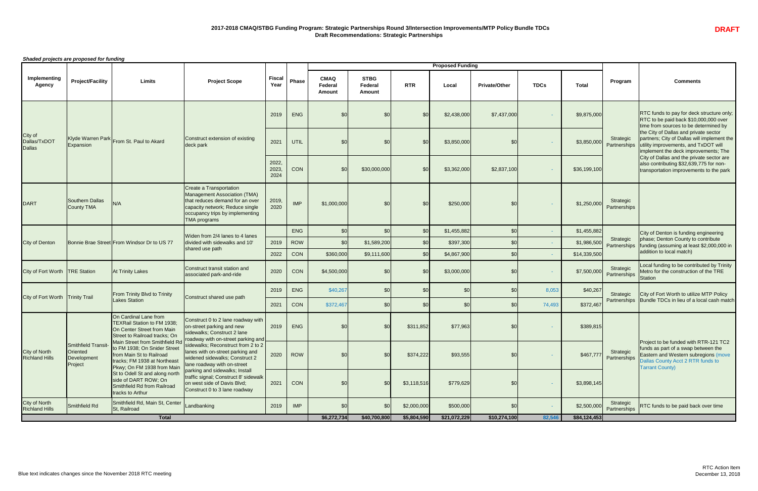*Shaded projects are proposed for funding*

|                                               |                                                                 |                                                                                                                            |                                                                                                                                                                                                                                           |                        |              |                                                |                                                |             | <b>Proposed Funding</b> |                      |             |              |                                                                                            |                                                                                                                                                                                     |
|-----------------------------------------------|-----------------------------------------------------------------|----------------------------------------------------------------------------------------------------------------------------|-------------------------------------------------------------------------------------------------------------------------------------------------------------------------------------------------------------------------------------------|------------------------|--------------|------------------------------------------------|------------------------------------------------|-------------|-------------------------|----------------------|-------------|--------------|--------------------------------------------------------------------------------------------|-------------------------------------------------------------------------------------------------------------------------------------------------------------------------------------|
| Implementing<br><b>Agency</b>                 | <b>Project/Facility</b>                                         | <b>Limits</b>                                                                                                              | <b>Project Scope</b>                                                                                                                                                                                                                      | <b>Fiscal</b><br>Year  | <b>Phase</b> | <b>CMAQ</b><br><b>Federal</b><br><b>Amount</b> | <b>STBG</b><br><b>Federal</b><br><b>Amount</b> | <b>RTR</b>  | Local                   | <b>Private/Other</b> | <b>TDCs</b> | <b>Total</b> | Program                                                                                    | <b>Comments</b>                                                                                                                                                                     |
|                                               |                                                                 |                                                                                                                            |                                                                                                                                                                                                                                           | 2019                   | <b>ENG</b>   | \$0                                            | \$0                                            | \$C         | \$2,438,000             | \$7,437,000          |             | \$9,875,000  |                                                                                            | <b>RTC</b> funds to pay for deck structure only;<br>RTC to be paid back \$10,000,000 over<br>time from sources to be determined by                                                  |
| City of<br>Dallas/TxDOT<br><b>Dallas</b>      | Expansion                                                       | Klyde Warren Park From St. Paul to Akard                                                                                   | Construct extension of existing<br>deck park                                                                                                                                                                                              | 2021                   | UTIL         | \$0                                            | \$0                                            | \$0         | \$3,850,000             | \$0                  |             |              | Strategic                                                                                  | the City of Dallas and private sector<br>partners; City of Dallas will implement the<br>utility improvements, and TxDOT will<br>implement the deck improvements; The                |
|                                               |                                                                 |                                                                                                                            |                                                                                                                                                                                                                                           | 2022,<br>2023,<br>2024 | CON          | \$0                                            | \$30,000,000                                   | \$0         | \$3,362,000             | \$2,837,100          |             | \$36,199,100 |                                                                                            | City of Dallas and the private sector are<br>also contributing \$32,639,775 for non-<br>transportation improvements to the park                                                     |
| <b>DART</b>                                   | <b>Southern Dallas</b><br>County TMA                            | N/A                                                                                                                        | Create a Transportation<br>Management Association (TMA)<br>that reduces demand for an over<br>capacity network; Reduce single<br>occupancy trips by implementing<br><b>TMA</b> programs                                                   | 2019,<br>2020          | <b>IMP</b>   | \$1,000,000                                    | \$0                                            | \$0         | \$250,000               | \$0                  |             | \$1,250,000  | Strategic<br>Partnerships                                                                  |                                                                                                                                                                                     |
|                                               |                                                                 |                                                                                                                            |                                                                                                                                                                                                                                           |                        | <b>ENG</b>   | \$0                                            | \$0                                            | \$0         | \$1,455,882             | \$ <sub>C</sub>      |             | \$1,455,882  |                                                                                            | City of Denton is funding engineering                                                                                                                                               |
| <b>City of Denton</b>                         |                                                                 | Bonnie Brae Street From Windsor Dr to US 77                                                                                | Widen from 2/4 lanes to 4 lanes<br>divided with sidewalks and 10'                                                                                                                                                                         | 2019                   | <b>ROW</b>   | \$0                                            | \$1,589,200                                    | \$0         | \$397,300               | \$0                  |             | \$1,986,500  | Strategic<br>Partnerships                                                                  | phase; Denton County to contribute<br>funding (assuming at least \$2,000,000 in                                                                                                     |
|                                               |                                                                 |                                                                                                                            | shared use path                                                                                                                                                                                                                           | 2022                   | CON          | \$360,000                                      | \$9,111,600                                    | \$0         | \$4,867,900             | \$0                  |             | \$14,339,500 |                                                                                            | addition to local match)                                                                                                                                                            |
| City of Fort Worth TRE Station                |                                                                 | <b>At Trinity Lakes</b>                                                                                                    | Construct transit station and<br>associated park-and-ride                                                                                                                                                                                 | 2020                   | CON          | \$4,500,000                                    | \$0                                            | \$0         | \$3,000,000             | \$0                  |             |              | $\begin{array}{ c c c }\n\hline\n\text{$37,500,000}\n\hline\n\end{array} \text{ Patterns}$ | Local funding to be contributed by Trinity<br>Metro for the construction of the TRE<br>Station                                                                                      |
|                                               |                                                                 | <b>From Trinity Blvd to Trinity</b>                                                                                        |                                                                                                                                                                                                                                           | 2019                   | <b>ENG</b>   | \$40,267                                       | \$0                                            | \$0         | \$0                     | \$0                  | 8,053       | \$40,267     | Strategic                                                                                  | City of Fort Worth to utilize MTP Policy                                                                                                                                            |
| City of Fort Worth   Trinity Trail            |                                                                 | <b>Lakes Station</b>                                                                                                       | Construct shared use path                                                                                                                                                                                                                 | 2021                   | CON          | \$372,467                                      | \$0                                            | \$0         | \$0                     | \$ <sub>C</sub>      | 74,493      | \$372,467    | Partnerships                                                                               | Bundle TDCs in lieu of a local cash match                                                                                                                                           |
|                                               |                                                                 | On Cardinal Lane from<br><b>TEXRail Station to FM 1938:</b><br>On Center Street from Main<br>Street to Railroad tracks; On | Construct 0 to 2 lane roadway with<br>on-street parking and new<br>sidewalks; Construct 2 lane                                                                                                                                            | 2019                   | <b>ENG</b>   | \$0                                            | \$0                                            | \$311,852   | \$77,963                | \$ <sub>C</sub>      |             | \$389,815    |                                                                                            |                                                                                                                                                                                     |
| <b>City of North<br/>Richland Hills</b>       | <b>Smithfield Transit</b><br>Oriented<br>Development<br>Project | to FM 1938; On Snider Street<br>from Main St to Railroad<br>tracks; FM 1938 at Northeast<br>Pkwy; On FM 1938 from Main     | Main Street from Smithfield Rd roadway with on-street parking and<br>to EM 1038: On Spider Street sidewalks; Reconstruct from 2 to 2<br>lanes with on-street parking and<br>widened sidewalks; Construct 2<br>lane roadway with on-street | 2020                   | <b>ROW</b>   | \$0                                            | \$0                                            | \$374,222   | \$93,555                | \$0                  |             |              | Strategic<br>\$467,777 Partnerships                                                        | Project to be funded with RTR-121 TC2<br>funds as part of a swap between the<br>Eastern and Western subregions (move<br>Dallas County Acct 2 RTR funds to<br><b>Tarrant County)</b> |
|                                               |                                                                 | St to Odell St and along north<br>side of DART ROW; On<br>Smithfield Rd from Railroad<br>tracks to Arthur                  | parking and sidewalks; Install<br>traffic signal; Construct 8' sidewalk<br>on west side of Davis Blvd;<br>Construct 0 to 3 lane roadway                                                                                                   | 2021                   | CON          | \$0                                            | \$0                                            | \$3,118,516 | \$779,629               | \$ <sub>0</sub>      |             | \$3,898,145  |                                                                                            |                                                                                                                                                                                     |
| <b>City of North</b><br><b>Richland Hills</b> | Smithfield Rd                                                   | Smithfield Rd, Main St, Center<br>St, Railroad                                                                             | Landbanking                                                                                                                                                                                                                               | 2019                   | <b>IMP</b>   | \$0                                            | \$0                                            | \$2,000,000 | \$500,000               | \$0                  |             | \$2,500,000  | Strategic<br>Partnerships                                                                  | <b>RTC funds to be paid back over time</b>                                                                                                                                          |
|                                               |                                                                 | <b>Total</b>                                                                                                               |                                                                                                                                                                                                                                           |                        |              | \$6,272,734                                    | \$40,700,800                                   | \$5,804,590 | \$21,072,229            | \$10,274,100         | 82,546      | \$84,124,453 |                                                                                            |                                                                                                                                                                                     |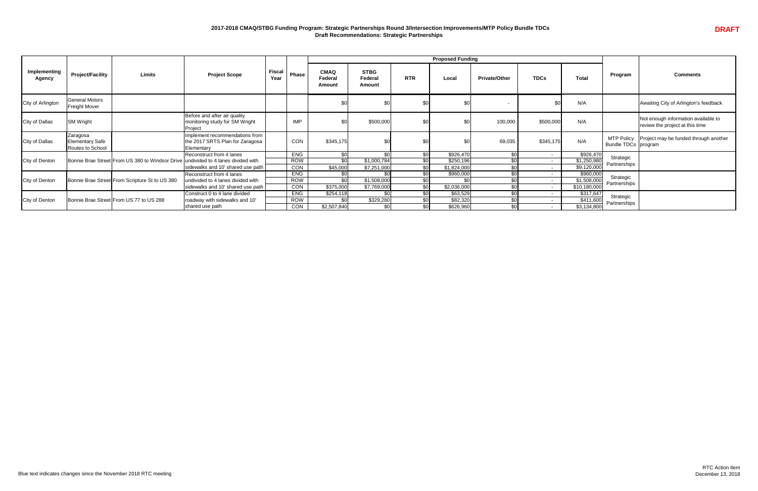### **2017-2018 CMAQ/STBG Funding Program: Strategic Partnerships Round 3/Intersection Improvements/MTP Policy Bundle TDCs Draft Recommendations: Strategic Partnerships**

|                               |                                                        |                                                |                                                                                   |                       |              |                                         |                                         |                 | <b>Proposed Funding</b> |                      |             |              |                     |                                                                        |
|-------------------------------|--------------------------------------------------------|------------------------------------------------|-----------------------------------------------------------------------------------|-----------------------|--------------|-----------------------------------------|-----------------------------------------|-----------------|-------------------------|----------------------|-------------|--------------|---------------------|------------------------------------------------------------------------|
| Implementing<br><b>Agency</b> | <b>Project/Facility</b>                                | <b>Limits</b>                                  | <b>Project Scope</b>                                                              | <b>Fiscal</b><br>Year | <b>Phase</b> | <b>CMAQ</b><br><b>Federal</b><br>Amount | <b>STBG</b><br><b>Federal</b><br>Amount | <b>RTR</b>      | Local                   | <b>Private/Other</b> | <b>TDCs</b> | <b>Total</b> | Program             | <b>Comments</b>                                                        |
| City of Arlington             | <b>General Motors</b><br><b>Freight Mover</b>          |                                                |                                                                                   |                       |              | \$0                                     |                                         |                 | \$0                     |                      | $$^{(1)}$   | N/A          |                     | Awaiting City of Arlington's feedback                                  |
| <b>City of Dallas</b>         | <b>SM Wright</b>                                       |                                                | Before and after air quality<br>monitoring study for SM Wright<br>Project         |                       | <b>IMP</b>   | \$0                                     | \$500,000                               | \$0             | \$0                     | 100,000              | \$500,000   | N/A          |                     | Not enough information available to<br>review the project at this time |
| City of Dallas                | Zaragosa<br><b>Elementary Safe</b><br>Routes to School |                                                | Implement recommendations from<br>the 2017 SRTS Plan for Zaragosa<br>Elementary   |                       | <b>CON</b>   | \$345,175                               | \$0                                     |                 | \$0                     | 69,035               | \$345,175   | N/A          | Bundle TDCs program | MTP Policy   Project may be funded through another                     |
|                               |                                                        |                                                | Reconstruct from 4 lanes                                                          |                       | <b>ENG</b>   | $\overline{30}$                         | \$0                                     | $\overline{30}$ | \$926,470               | \$0                  |             | \$926,470    | Strategic           |                                                                        |
| City of Denton                |                                                        |                                                | Bonnie Brae Street From US 380 to Windsor Drive undivided to 4 lanes divided with |                       | <b>ROW</b>   | \$0                                     | \$1,000,784                             | \$0             | \$250,196               |                      |             | \$1,250,980  | Partnerships        |                                                                        |
|                               |                                                        |                                                | sidewalks and 10' shared use path                                                 |                       | <b>CON</b>   | \$45,000                                | \$7,251,000                             | \$0             | \$1,824,000             | ـ ⊄∩                 |             | \$9,120,000  |                     |                                                                        |
|                               |                                                        |                                                | Reconstruct from 4 lanes                                                          |                       | <b>ENG</b>   | \$0                                     | $\overline{50}$                         | $\overline{30}$ | \$960,000               |                      |             | \$960,000    | Strategic           |                                                                        |
| City of Denton                |                                                        | Bonnie Brae Street From Scripture St to US 380 | undivided to 4 lanes divided with                                                 |                       | <b>ROW</b>   | \$0                                     | \$1,508,000                             | \$0             | \$0                     | ድ∩                   |             | \$1,508,000  | Partnerships        |                                                                        |
|                               |                                                        |                                                | sidewalks and 10' shared use path                                                 |                       | CON          | \$375,000                               | \$7,769,000                             | \$0             | \$2,036,000             | \$0                  |             | \$10,180,000 |                     |                                                                        |
|                               |                                                        |                                                | Construct 0 to 4 lane divided                                                     |                       | <b>ENG</b>   | \$254,118                               | \$0                                     | \$0             | \$63,529                | \$0                  |             | \$317,647    | Strategic           |                                                                        |
| City of Denton                |                                                        | Bonnie Brae Street From US 77 to US 288        | roadway with sidewalks and 10'                                                    |                       | <b>ROW</b>   | \$0                                     | \$329,280                               | \$0             | \$82,320                | \$0                  | $\sim$      | \$411,600    | Partnerships        |                                                                        |
|                               |                                                        |                                                | shared use path                                                                   |                       | <b>CON</b>   | \$2,507,840                             | \$0                                     | \$0             | \$626,960               | \$0                  |             | \$3,134,800  |                     |                                                                        |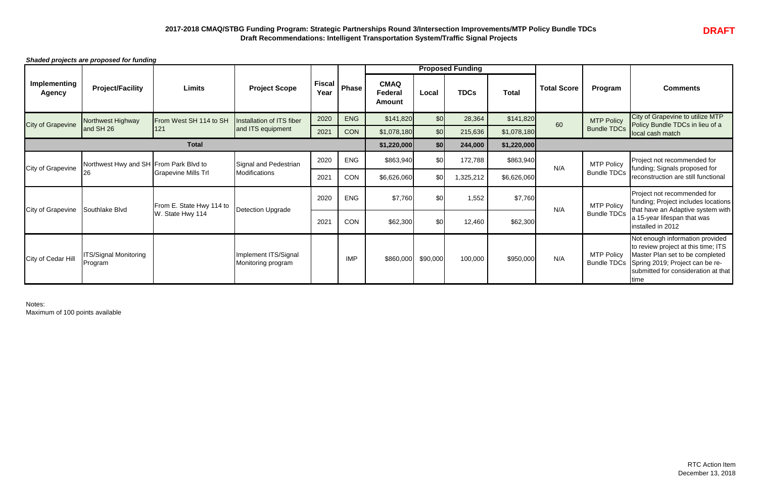## **2017-2018 CMAQ/STBG Funding Program: Strategic Partnerships Round 3/Intersection Improvements/MTP Policy Bundle TDCs Draft Recommendations: Intelligent Transportation System/Traffic Signal Projects**



*Shaded projects are proposed for funding*

Notes: Maximum of 100 points available

|                                      | $\frac{1}{2}$                          |                            |                                            |                       |            |                                                |          | <b>Proposed Funding</b> |              |                    |                    |                                                                                                                                                                                                                 |
|--------------------------------------|----------------------------------------|----------------------------|--------------------------------------------|-----------------------|------------|------------------------------------------------|----------|-------------------------|--------------|--------------------|--------------------|-----------------------------------------------------------------------------------------------------------------------------------------------------------------------------------------------------------------|
| <b>Implementing</b><br><b>Agency</b> | <b>Project/Facility</b>                | <b>Limits</b>              | <b>Project Scope</b>                       | <b>Fiscal</b><br>Year | Phase !    | <b>CMAQ</b><br><b>Federal</b><br><b>Amount</b> | Local    | <b>TDCs</b>             | <b>Total</b> | <b>Total Score</b> | Program            | <b>Comments</b>                                                                                                                                                                                                 |
| <b>City of Grapevine</b>             | Northwest Highway                      | From West SH 114 to SH     | Installation of ITS fiber                  | 2020                  | <b>ENG</b> | \$141,820                                      | \$0      | 28,364                  | \$141,820    | 60                 | <b>MTP Policy</b>  | City of Grapevine to utilize MTP<br>Policy Bundle TDCs in lieu of a                                                                                                                                             |
|                                      | and SH 26                              | 121                        | and ITS equipment                          | 2021                  | <b>CON</b> | \$1,078,180                                    | \$0      | 215,636                 | \$1,078,180  |                    | <b>Bundle TDCs</b> | local cash match                                                                                                                                                                                                |
|                                      |                                        | <b>Total</b>               |                                            |                       |            | \$1,220,000                                    | \$0      | 244,000                 | \$1,220,000  |                    |                    |                                                                                                                                                                                                                 |
| <b>City of Grapevine</b>             | Northwest Hwy and SH From Park Blvd to |                            | Signal and Pedestrian                      | 2020                  | <b>ENG</b> | \$863,940                                      | \$0      | 172,788                 | \$863,940    | N/A                | <b>MTP Policy</b>  | Project not recommended for<br>funding; Signals proposed for                                                                                                                                                    |
|                                      | 26                                     | <b>Grapevine Mills Trl</b> | <b>Modifications</b>                       | 2021                  | CON        | \$6,626,060                                    | \$0      | 325,212                 | \$6,626,060  |                    | <b>Bundle TDCs</b> | reconstruction are still functional                                                                                                                                                                             |
| <b>City of Grapevine</b>             | Southlake Blvd                         | From E. State Hwy 114 to   | Detection Upgrade                          | 2020                  | <b>ENG</b> | \$7,760                                        | \$0      | 1,552                   | \$7,760      | N/A                | <b>MTP Policy</b>  | Project not recommended for<br>funding; Project includes locations<br>that have an Adaptive system with                                                                                                         |
|                                      |                                        | W. State Hwy 114           |                                            | 2021                  | CON        | \$62,300                                       | \$0      | 12,460                  | \$62,300     |                    | <b>Bundle TDCs</b> | a 15-year lifespan that was<br>installed in 2012                                                                                                                                                                |
| City of Cedar Hill                   | <b>TS/Signal Monitoring</b><br>Program |                            | Implement ITS/Signal<br>Monitoring program |                       | <b>IMP</b> | \$860,000                                      | \$90,000 | 100,000                 | \$950,000    | N/A                | <b>MTP Policy</b>  | Not enough information provided<br>to review project at this time; ITS<br>Master Plan set to be completed<br>Bundle TDCs Spring 2019; Project can be re-<br>submitted for consideration at that<br><b>Itime</b> |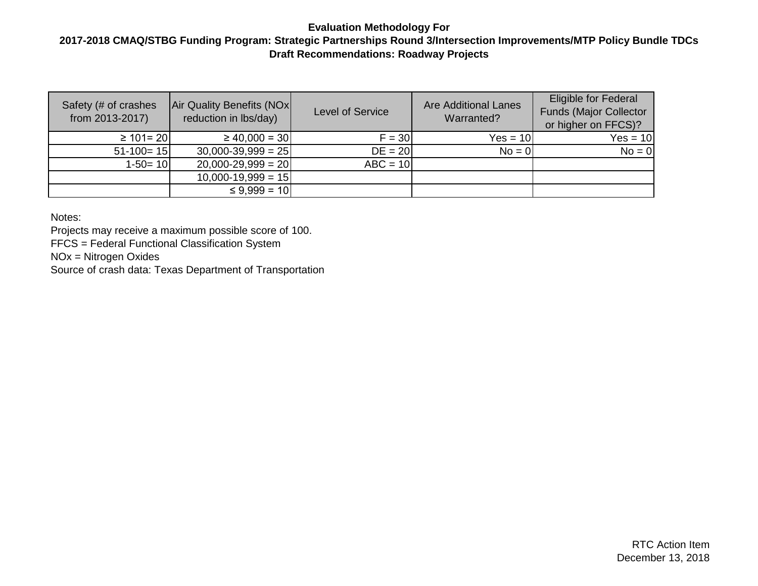#### **2017-2018 CMAQ/STBG Funding Program: Strategic Partnerships Round 3/Intersection Improvements/MTP Policy Bundle TDCs Draft Recommendations: Roadway Projects**

| Safety (# of crashes<br>from 2013-2017) | Air Quality Benefits (NOx)<br>reduction in lbs/day) | <b>Level of Service</b> | <b>Are Additional Lanes</b><br>Warranted? | <b>Eligible for Federal</b><br><b>Funds (Major Collector</b><br>or higher on FFCS)? |
|-----------------------------------------|-----------------------------------------------------|-------------------------|-------------------------------------------|-------------------------------------------------------------------------------------|
| $\geq 101 = 20$                         | $\geq 40,000 = 30$                                  | $F = 30$                | $Yes = 10$                                | $Yes = 10$                                                                          |
| $51-100=15$                             | $30,000-39,999 = 25$                                | $DE = 20$               | $No = 0$                                  | $No = 0$                                                                            |
| $1-50=10$                               | $20,000-29,999 = 20$                                | $ABC = 10$              |                                           |                                                                                     |
|                                         | $10,000-19,999 = 15$                                |                         |                                           |                                                                                     |
|                                         | $\leq 9,999 = 10$                                   |                         |                                           |                                                                                     |

Notes:

Projects may receive a maximum possible score of 100.

FFCS = Federal Functional Classification System

NOx = Nitrogen Oxides

Source of crash data: Texas Department of Transportation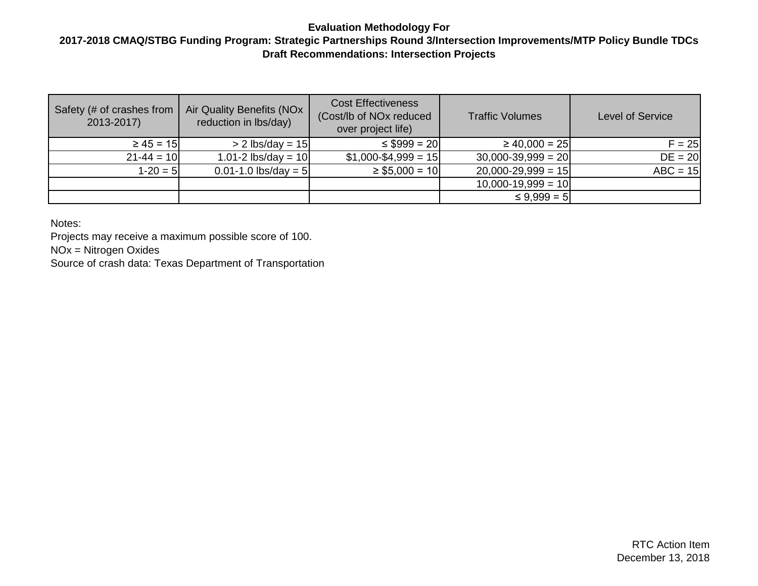#### **2017-2018 CMAQ/STBG Funding Program: Strategic Partnerships Round 3/Intersection Improvements/MTP Policy Bundle TDCs Draft Recommendations: Intersection Projects**

| Safety (# of crashes from<br>2013-2017) | Air Quality Benefits (NOx<br>reduction in lbs/day) | <b>Cost Effectiveness</b><br>(Cost/lb of NO <sub>x</sub> reduced<br>over project life) | <b>Traffic Volumes</b> | <b>Level of Service</b> |  |
|-----------------------------------------|----------------------------------------------------|----------------------------------------------------------------------------------------|------------------------|-------------------------|--|
| $\geq 45 = 15$                          | $> 2$ lbs/day = 15                                 | $\leq$ \$999 = 20                                                                      | $\geq 40,000 = 25$     | $F = 25$                |  |
| $21 - 44 = 10$                          | 1.01-2 $\text{lbs/day} = 10$                       | $$1,000 - $4,999 = 15$                                                                 | $30,000-39,999 = 20$   | $DE = 20$               |  |
| $1-20 = 5$                              | $0.01 - 1.0$ lbs/day = 5                           | $\geq$ \$5,000 = 10                                                                    | $20,000-29,999 = 15$   | $ABC = 15$              |  |
|                                         |                                                    |                                                                                        | $10,000-19,999 = 10$   |                         |  |
|                                         |                                                    |                                                                                        | $\leq 9.999 = 5$       |                         |  |

Notes:

Projects may receive a maximum possible score of 100. NOx = Nitrogen Oxides Source of crash data: Texas Department of Transportation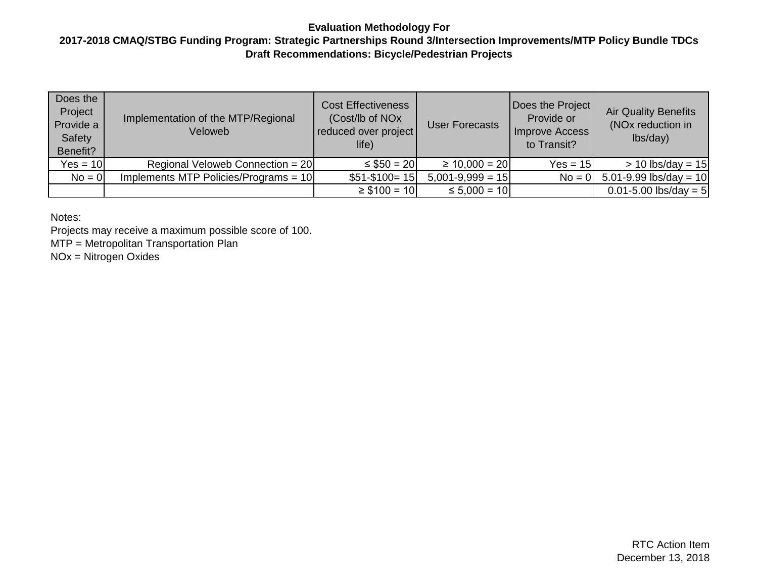#### **2017-2018 CMAQ/STBG Funding Program: Strategic Partnerships Round 3/Intersection Improvements/MTP Policy Bundle TDCs Draft Recommendations: Bicycle/Pedestrian Projects**

| Does the<br>Project<br>Provide a<br>Safety<br>Benefit? | Implementation of the MTP/Regional<br>Veloweb | <b>Cost Effectiveness</b><br>(Cost/lb of NO <sub>x</sub><br>reduced over project<br>life) | <b>User Forecasts</b> | Does the Project<br>Provide or<br>Improve Access<br>to Transit? | <b>Air Quality Benefits</b><br>(NO <sub>x</sub> reduction in<br>lbs/day) |
|--------------------------------------------------------|-----------------------------------------------|-------------------------------------------------------------------------------------------|-----------------------|-----------------------------------------------------------------|--------------------------------------------------------------------------|
| $Yes = 10$                                             | Regional Veloweb Connection = $20$            | $\leq$ \$50 = 20                                                                          | $\geq 10,000 = 20$    | $Yes = 15$                                                      | $> 10$ lbs/day = 15                                                      |
| $No = 0$                                               | Implements MTP Policies/Programs = $10$       | $$51-\$100=15$                                                                            | $5,001-9,999 = 15$    | $No = 0$                                                        | 5.01-9.99 lbs/day = $10$                                                 |
|                                                        |                                               | $\geq$ \$100 = 10                                                                         | $\leq 5,000 = 10$     |                                                                 | $0.01 - 5.00$ lbs/day = 5                                                |

Notes:

Projects may receive a maximum possible score of 100.

MTP = Metropolitan Transportation Plan

NOx = Nitrogen Oxides